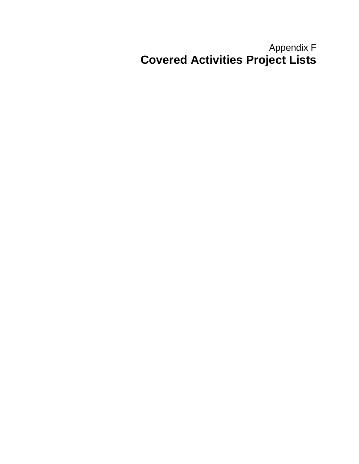#### Appendix F **Covered Activities Project Lists**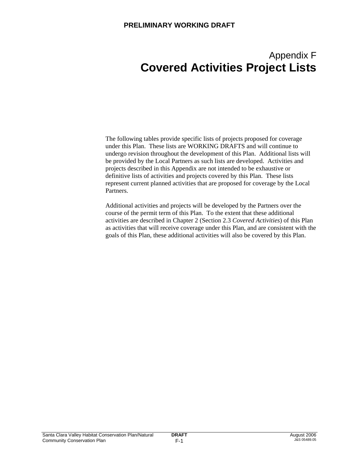#### Appendix F **Covered Activities Project Lists**

The following tables provide specific lists of projects proposed for coverage under this Plan. These lists are WORKING DRAFTS and will continue to undergo revision throughout the development of this Plan. Additional lists will be provided by the Local Partners as such lists are developed. Activities and projects described in this Appendix are not intended to be exhaustive or definitive lists of activities and projects covered by this Plan. These lists represent current planned activities that are proposed for coverage by the Local Partners.

Additional activities and projects will be developed by the Partners over the course of the permit term of this Plan. To the extent that these additional activities are described in Chapter 2 (Section 2.3 *Covered Activities*) of this Plan as activities that will receive coverage under this Plan, and are consistent with the goals of this Plan, these additional activities will also be covered by this Plan.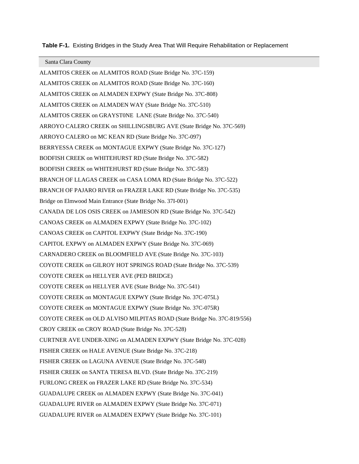**Table F-1.** Existing Bridges in the Study Area That Will Require Rehabilitation or Replacement

Santa Clara County

ALAMITOS CREEK on ALAMITOS ROAD (State Bridge No. 37C-159) ALAMITOS CREEK on ALAMITOS ROAD (State Bridge No. 37C-160) ALAMITOS CREEK on ALMADEN EXPWY (State Bridge No. 37C-808) ALAMITOS CREEK on ALMADEN WAY (State Bridge No. 37C-510) ALAMITOS CREEK on GRAYST0NE LANE (State Bridge No. 37C-540) ARROYO CALERO CREEK on SHILLINGSBURG AVE (State Bridge No. 37C-569) ARROYO CALERO on MC KEAN RD (State Bridge No. 37C-097) BERRYESSA CREEK on MONTAGUE EXPWY (State Bridge No. 37C-127) BODFISH CREEK on WHITEHURST RD (State Bridge No. 37C-582) BODFISH CREEK on WHITEHURST RD (State Bridge No. 37C-583) BRANCH OF LLAGAS CREEK on CASA LOMA RD (State Bridge No. 37C-522) BRANCH OF PAJARO RIVER on FRAZER LAKE RD (State Bridge No. 37C-535) Bridge on Elmwood Main Entrance (State Bridge No. 37I-001) CANADA DE LOS OSIS CREEK on JAMIESON RD (State Bridge No. 37C-542) CANOAS CREEK on ALMADEN EXPWY (State Bridge No. 37C-102) CANOAS CREEK on CAPITOL EXPWY (State Bridge No. 37C-190) CAPITOL EXPWY on ALMADEN EXPWY (State Bridge No. 37C-069) CARNADERO CREEK on BLOOMFIELD AVE (State Bridge No. 37C-103) COYOTE CREEK on GILROY HOT SPRINGS ROAD (State Bridge No. 37C-539) COYOTE CREEK on HELLYER AVE (PED BRIDGE) COYOTE CREEK on HELLYER AVE (State Bridge No. 37C-541) COYOTE CREEK on MONTAGUE EXPWY (State Bridge No. 37C-075L) COYOTE CREEK on MONTAGUE EXPWY (State Bridge No. 37C-075R) COYOTE CREEK on OLD ALVISO MILPITAS ROAD (State Bridge No. 37C-819/556) CROY CREEK on CROY ROAD (State Bridge No. 37C-528) CURTNER AVE UNDER-XING on ALMADEN EXPWY (State Bridge No. 37C-028) FISHER CREEK on HALE AVENUE (State Bridge No. 37C-218) FISHER CREEK on LAGUNA AVENUE (State Bridge No. 37C-548) FISHER CREEK on SANTA TERESA BLVD. (State Bridge No. 37C-219) FURLONG CREEK on FRAZER LAKE RD (State Bridge No. 37C-534) GUADALUPE CREEK on ALMADEN EXPWY (State Bridge No. 37C-041) GUADALUPE RIVER on ALMADEN EXPWY (State Bridge No. 37C-071) GUADALUPE RIVER on ALMADEN EXPWY (State Bridge No. 37C-101)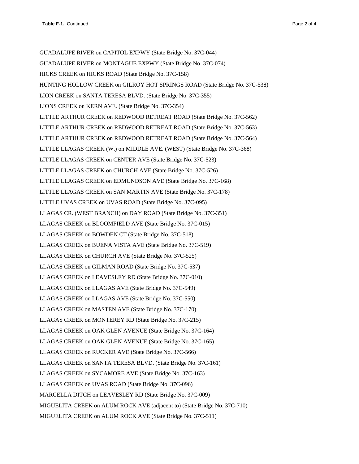GUADALUPE RIVER on CAPITOL EXPWY (State Bridge No. 37C-044) GUADALUPE RIVER on MONTAGUE EXPWY (State Bridge No. 37C-074) HICKS CREEK on HICKS ROAD (State Bridge No. 37C-158) HUNTING HOLLOW CREEK on GILROY HOT SPRINGS ROAD (State Bridge No. 37C-538) LION CREEK on SANTA TERESA BLVD. (State Bridge No. 37C-355) LIONS CREEK on KERN AVE. (State Bridge No. 37C-354) LITTLE ARTHUR CREEK on REDWOOD RETREAT ROAD (State Bridge No. 37C-562) LITTLE ARTHUR CREEK on REDWOOD RETREAT ROAD (State Bridge No. 37C-563) LITTLE ARTHUR CREEK on REDWOOD RETREAT ROAD (State Bridge No. 37C-564) LITTLE LLAGAS CREEK (W.) on MIDDLE AVE. (WEST) (State Bridge No. 37C-368) LITTLE LLAGAS CREEK on CENTER AVE (State Bridge No. 37C-523) LITTLE LLAGAS CREEK on CHURCH AVE (State Bridge No. 37C-526) LITTLE LLAGAS CREEK on EDMUNDSON AVE (State Bridge No. 37C-168) LITTLE LLAGAS CREEK on SAN MARTIN AVE (State Bridge No. 37C-178) LITTLE UVAS CREEK on UVAS ROAD (State Bridge No. 37C-095) LLAGAS CR. (WEST BRANCH) on DAY ROAD (State Bridge No. 37C-351) LLAGAS CREEK on BLOOMFIELD AVE (State Bridge No. 37C-015) LLAGAS CREEK on BOWDEN CT (State Bridge No. 37C-518) LLAGAS CREEK on BUENA VISTA AVE (State Bridge No. 37C-519) LLAGAS CREEK on CHURCH AVE (State Bridge No. 37C-525) LLAGAS CREEK on GILMAN ROAD (State Bridge No. 37C-537) LLAGAS CREEK on LEAVESLEY RD (State Bridge No. 37C-010) LLAGAS CREEK on LLAGAS AVE (State Bridge No. 37C-549) LLAGAS CREEK on LLAGAS AVE (State Bridge No. 37C-550) LLAGAS CREEK on MASTEN AVE (State Bridge No. 37C-170) LLAGAS CREEK on MONTEREY RD (State Bridge No. 37C-215) LLAGAS CREEK on OAK GLEN AVENUE (State Bridge No. 37C-164) LLAGAS CREEK on OAK GLEN AVENUE (State Bridge No. 37C-165) LLAGAS CREEK on RUCKER AVE (State Bridge No. 37C-566) LLAGAS CREEK on SANTA TERESA BLVD. (State Bridge No. 37C-161) LLAGAS CREEK on SYCAMORE AVE (State Bridge No. 37C-163) LLAGAS CREEK on UVAS ROAD (State Bridge No. 37C-096) MARCELLA DITCH on LEAVESLEY RD (State Bridge No. 37C-009) MIGUELITA CREEK on ALUM ROCK AVE (adjacent to) (State Bridge No. 37C-710) MIGUELITA CREEK on ALUM ROCK AVE (State Bridge No. 37C-511)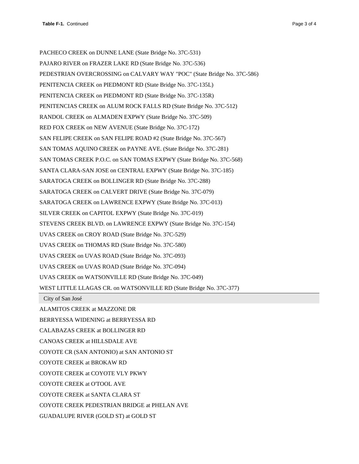PACHECO CREEK on DUNNE LANE (State Bridge No. 37C-531) PAJARO RIVER on FRAZER LAKE RD (State Bridge No. 37C-536) PEDESTRIAN OVERCROSSING on CALVARY WAY "POC" (State Bridge No. 37C-586) PENITENCIA CREEK on PIEDMONT RD (State Bridge No. 37C-135L) PENITENCIA CREEK on PIEDMONT RD (State Bridge No. 37C-135R) PENITENCIAS CREEK on ALUM ROCK FALLS RD (State Bridge No. 37C-512) RANDOL CREEK on ALMADEN EXPWY (State Bridge No. 37C-509) RED FOX CREEK on NEW AVENUE (State Bridge No. 37C-172) SAN FELIPE CREEK on SAN FELIPE ROAD #2 (State Bridge No. 37C-567) SAN TOMAS AQUINO CREEK on PAYNE AVE. (State Bridge No. 37C-281) SAN TOMAS CREEK P.O.C. on SAN TOMAS EXPWY (State Bridge No. 37C-568) SANTA CLARA-SAN JOSE on CENTRAL EXPWY (State Bridge No. 37C-185) SARATOGA CREEK on BOLLINGER RD (State Bridge No. 37C-288) SARATOGA CREEK on CALVERT DRIVE (State Bridge No. 37C-079) SARATOGA CREEK on LAWRENCE EXPWY (State Bridge No. 37C-013) SILVER CREEK on CAPITOL EXPWY (State Bridge No. 37C-019) STEVENS CREEK BLVD. on LAWRENCE EXPWY (State Bridge No. 37C-154) UVAS CREEK on CROY ROAD (State Bridge No. 37C-529) UVAS CREEK on THOMAS RD (State Bridge No. 37C-580) UVAS CREEK on UVAS ROAD (State Bridge No. 37C-093) UVAS CREEK on UVAS ROAD (State Bridge No. 37C-094) UVAS CREEK on WATSONVILLE RD (State Bridge No. 37C-049) WEST LITTLE LLAGAS CR. on WATSONVILLE RD (State Bridge No. 37C-377)

City of San José

ALAMITOS CREEK at MAZZONE DR

BERRYESSA WIDENING at BERRYESSA RD

CALABAZAS CREEK at BOLLINGER RD

CANOAS CREEK at HILLSDALE AVE

COYOTE CR (SAN ANTONIO) at SAN ANTONIO ST

COYOTE CREEK at BROKAW RD

COYOTE CREEK at COYOTE VLY PKWY

COYOTE CREEK at O'TOOL AVE

COYOTE CREEK at SANTA CLARA ST

COYOTE CREEK PEDESTRIAN BRIDGE at PHELAN AVE

GUADALUPE RIVER (GOLD ST) at GOLD ST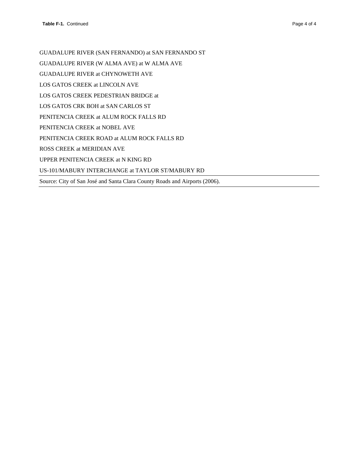GUADALUPE RIVER (SAN FERNANDO) at SAN FERNANDO ST GUADALUPE RIVER (W ALMA AVE) at W ALMA AVE GUADALUPE RIVER at CHYNOWETH AVE LOS GATOS CREEK at LINCOLN AVE LOS GATOS CREEK PEDESTRIAN BRIDGE at LOS GATOS CRK BOH at SAN CARLOS ST PENITENCIA CREEK at ALUM ROCK FALLS RD PENITENCIA CREEK at NOBEL AVE PENITENCIA CREEK ROAD at ALUM ROCK FALLS RD ROSS CREEK at MERIDIAN AVE UPPER PENITENCIA CREEK at N KING RD US-101/MABURY INTERCHANGE at TAYLOR ST/MABURY RD Source: City of San José and Santa Clara County Roads and Airports (2006).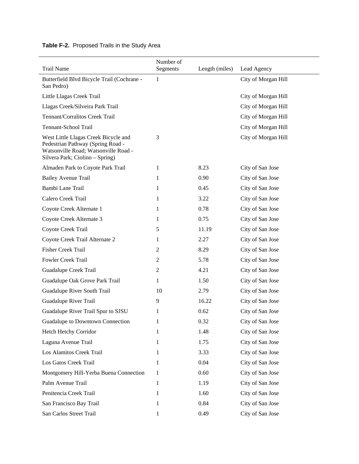#### **Table F-2.** Proposed Trails in the Study Area

| <b>Trail Name</b>                                                                                                                                    | Number of<br>Segments | Length (miles) | Lead Agency         |
|------------------------------------------------------------------------------------------------------------------------------------------------------|-----------------------|----------------|---------------------|
| Butterfield Blvd Bicycle Trail (Cochrane -<br>San Pedro)                                                                                             | 1                     |                | City of Morgan Hill |
| Little Llagas Creek Trail                                                                                                                            |                       |                | City of Morgan Hill |
| Llagas Creek/Silveira Park Trail                                                                                                                     |                       |                | City of Morgan Hill |
| Tennant/Corralitos Creek Trail                                                                                                                       |                       |                | City of Morgan Hill |
| Tennant-School Trail                                                                                                                                 |                       |                | City of Morgan Hill |
| West Little Llagas Creek Bicycle and<br>Pedestrian Pathway (Spring Road -<br>Watsonville Road; Watsonville Road -<br>Silvera Park; Ciolino – Spring) | 3                     |                | City of Morgan Hill |
| Almaden Park to Coyote Park Trail                                                                                                                    | 1                     | 8.23           | City of San Jose    |
| <b>Bailey Avenue Trail</b>                                                                                                                           | 1                     | 0.90           | City of San Jose    |
| Bambi Lane Trail                                                                                                                                     | 1                     | 0.45           | City of San Jose    |
| Calero Creek Trail                                                                                                                                   | 1                     | 3.22           | City of San Jose    |
| Coyote Creek Alternate 1                                                                                                                             | 1                     | 0.78           | City of San Jose    |
| Coyote Creek Alternate 3                                                                                                                             | 1                     | 0.75           | City of San Jose    |
| Coyote Creek Trail                                                                                                                                   | 5                     | 11.19          | City of San Jose    |
| Coyote Creek Trail Alternate 2                                                                                                                       | 1                     | 2.27           | City of San Jose    |
| <b>Fisher Creek Trail</b>                                                                                                                            | 2                     | 8.29           | City of San Jose    |
| Fowler Creek Trail                                                                                                                                   | 2                     | 5.78           | City of San Jose    |
| Guadalupe Creek Trail                                                                                                                                | 2                     | 4.21           | City of San Jose    |
| Guadalupe Oak Grove Park Trail                                                                                                                       | 1                     | 1.50           | City of San Jose    |
| Guadalupe River South Trail                                                                                                                          | 10                    | 2.79           | City of San Jose    |
| Guadalupe River Trail                                                                                                                                | 9                     | 16.22          | City of San Jose    |
| Guadalupe River Trail Spur to SJSU                                                                                                                   | 1                     | 0.62           | City of San Jose    |
| Guadalupe to Downtown Connection                                                                                                                     | 1                     | 0.32           | City of San Jose    |
| Hetch Hetchy Corridor                                                                                                                                | 1                     | 1.48           | City of San Jose    |
| Laguna Avenue Trail                                                                                                                                  | 1                     | 1.75           | City of San Jose    |
| Los Alamitos Creek Trail                                                                                                                             | 1                     | 3.33           | City of San Jose    |
| Los Gatos Creek Trail                                                                                                                                | 1                     | 0.04           | City of San Jose    |
| Montgomery Hill-Yerba Buena Connection                                                                                                               | 1                     | 0.60           | City of San Jose    |
| Palm Avenue Trail                                                                                                                                    | 1                     | 1.19           | City of San Jose    |
| Penitencia Creek Trail                                                                                                                               | 1                     | 1.60           | City of San Jose    |
| San Francisco Bay Trail                                                                                                                              | 1                     | 0.84           | City of San Jose    |
| San Carlos Street Trail                                                                                                                              | 1                     | 0.49           | City of San Jose    |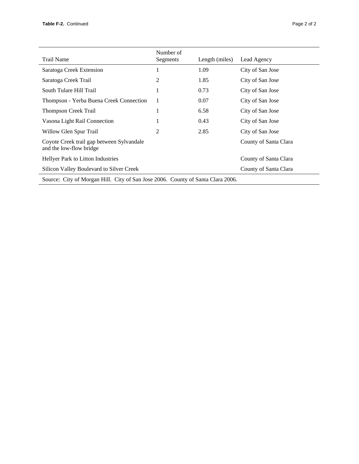| <b>Trail Name</b>                                                    | Number of<br>Segments | Length (miles) | Lead Agency           |
|----------------------------------------------------------------------|-----------------------|----------------|-----------------------|
| Saratoga Creek Extension                                             |                       | 1.09           | City of San Jose      |
| Saratoga Creek Trail                                                 | 2                     | 1.85           | City of San Jose      |
| South Tulare Hill Trail                                              |                       | 0.73           | City of San Jose      |
| Thompson - Yerba Buena Creek Connection                              |                       | 0.07           | City of San Jose      |
| <b>Thompson Creek Trail</b>                                          |                       | 6.58           | City of San Jose      |
| Vasona Light Rail Connection                                         |                       | 0.43           | City of San Jose      |
| Willow Glen Spur Trail                                               | 2                     | 2.85           | City of San Jose      |
| Coyote Creek trail gap between Sylvandale<br>and the low-flow bridge |                       |                | County of Santa Clara |
| Hellyer Park to Litton Industries                                    |                       |                | County of Santa Clara |
| Silicon Valley Boulevard to Silver Creek                             |                       |                | County of Santa Clara |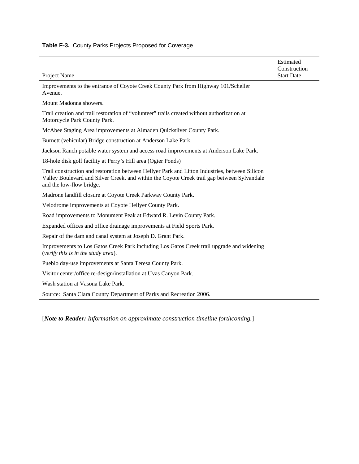#### **Table F-3.** County Parks Projects Proposed for Coverage

|                                                                                                                                                                                                                           | Estimated<br>Construction |
|---------------------------------------------------------------------------------------------------------------------------------------------------------------------------------------------------------------------------|---------------------------|
| Project Name                                                                                                                                                                                                              | <b>Start Date</b>         |
| Improvements to the entrance of Coyote Creek County Park from Highway 101/Scheller<br>Avenue.                                                                                                                             |                           |
| Mount Madonna showers.                                                                                                                                                                                                    |                           |
| Trail creation and trail restoration of "volunteer" trails created without authorization at<br>Motorcycle Park County Park.                                                                                               |                           |
| McAbee Staging Area improvements at Almaden Quicksilver County Park.                                                                                                                                                      |                           |
| Burnett (vehicular) Bridge construction at Anderson Lake Park.                                                                                                                                                            |                           |
| Jackson Ranch potable water system and access road improvements at Anderson Lake Park.                                                                                                                                    |                           |
| 18-hole disk golf facility at Perry's Hill area (Ogier Ponds)                                                                                                                                                             |                           |
| Trail construction and restoration between Hellyer Park and Litton Industries, between Silicon<br>Valley Boulevard and Silver Creek, and within the Coyote Creek trail gap between Sylvandale<br>and the low-flow bridge. |                           |
| Madrone landfill closure at Coyote Creek Parkway County Park.                                                                                                                                                             |                           |
| Velodrome improvements at Coyote Hellyer County Park.                                                                                                                                                                     |                           |
| Road improvements to Monument Peak at Edward R. Levin County Park.                                                                                                                                                        |                           |
| Expanded offices and office drainage improvements at Field Sports Park.                                                                                                                                                   |                           |
| Repair of the dam and canal system at Joseph D. Grant Park.                                                                                                                                                               |                           |
| Improvements to Los Gatos Creek Park including Los Gatos Creek trail upgrade and widening<br>(verify this is in the study area).                                                                                          |                           |
| Pueblo day-use improvements at Santa Teresa County Park.                                                                                                                                                                  |                           |
| Visitor center/office re-design/installation at Uvas Canyon Park.                                                                                                                                                         |                           |
| Wash station at Vasona Lake Park.                                                                                                                                                                                         |                           |
| Source: Santa Clara County Department of Parks and Recreation 2006.                                                                                                                                                       |                           |

[*Note to Reader: Information on approximate construction timeline forthcoming.*]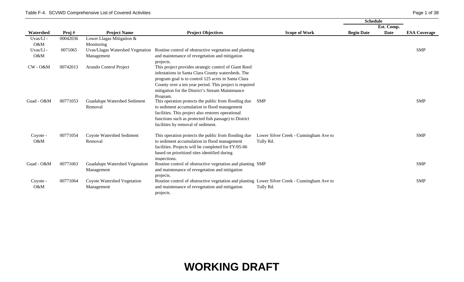|             |          |                                  |                                                                                               |                                        | Schedule          |            |                     |
|-------------|----------|----------------------------------|-----------------------------------------------------------------------------------------------|----------------------------------------|-------------------|------------|---------------------|
|             |          |                                  |                                                                                               |                                        |                   | Est. Comp. |                     |
| Watershed   | Proj#    | <b>Project Name</b>              | <b>Project Objectives</b>                                                                     | <b>Scope of Work</b>                   | <b>Begin Date</b> | Date       | <b>ESA Coverage</b> |
| Uvas/Ll-    | 00042036 | Lower Llagas Mitigation &        |                                                                                               |                                        |                   |            |                     |
| O&M         |          | Monitoring                       |                                                                                               |                                        |                   |            |                     |
| Uvas/Ll-    | 0071065  | Uvas/Llagas Watershed Vegetation | Routine control of obstructive vegetation and planting                                        |                                        |                   |            | <b>SMP</b>          |
| O&M         |          | Management                       | and maintenance of revegetation and mitigation                                                |                                        |                   |            |                     |
|             |          |                                  | projects.                                                                                     |                                        |                   |            |                     |
| $CW - O\&M$ | 00742013 | Arundo Control Project           | This project provides strategic control of Giant Reed                                         |                                        |                   |            |                     |
|             |          |                                  | infestations in Santa Clara County watersheds. The                                            |                                        |                   |            |                     |
|             |          |                                  | program goal is to control 125 acres in Santa Clara                                           |                                        |                   |            |                     |
|             |          |                                  | County over a ten year period. This project is required                                       |                                        |                   |            |                     |
|             |          |                                  | mitigation for the District's Stream Maintenance                                              |                                        |                   |            |                     |
|             |          |                                  | Program.                                                                                      |                                        |                   |            |                     |
| Guad - O&M  | 00771053 | Guadalupe Watershed Sediment     | This operation protects the public from flooding due                                          | <b>SMP</b>                             |                   |            | <b>SMP</b>          |
|             |          | Removal                          | to sediment accumulation in flood management                                                  |                                        |                   |            |                     |
|             |          |                                  | facilities. This project also restores operational                                            |                                        |                   |            |                     |
|             |          |                                  | functions such as protected fish passage) to District                                         |                                        |                   |            |                     |
|             |          |                                  | facilities by removal of sediment.                                                            |                                        |                   |            |                     |
| Coyote -    | 00771054 | Coyote Watershed Sediment        | This operation protects the public from flooding due                                          | Lower Silver Creek - Cunningham Ave to |                   |            | <b>SMP</b>          |
| O&M         |          | Removal                          | to sediment accumulation in flood management                                                  | Tully Rd.                              |                   |            |                     |
|             |          |                                  | facilities. Projects will be completed for FY/05-06                                           |                                        |                   |            |                     |
|             |          |                                  | based on prioritized sites identified during                                                  |                                        |                   |            |                     |
|             |          |                                  | inspections.                                                                                  |                                        |                   |            |                     |
| Guad - O&M  | 00771063 | Guadalupe Watershed Vegetation   | Routine control of obstructive vegetation and planting SMP                                    |                                        |                   |            | <b>SMP</b>          |
|             |          | Management                       | and maintenance of revegetation and mitigation                                                |                                        |                   |            |                     |
|             |          |                                  | projects.                                                                                     |                                        |                   |            |                     |
| Coyote -    | 00771064 | Coyote Watershed Vegetation      | Routine control of obstructive vegetation and planting Lower Silver Creek - Cunningham Ave to |                                        |                   |            | <b>SMP</b>          |
| O&M         |          | Management                       | and maintenance of revegetation and mitigation                                                | Tully Rd.                              |                   |            |                     |
|             |          |                                  | projects.                                                                                     |                                        |                   |            |                     |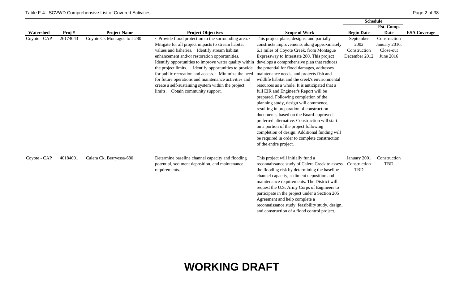|              |          |                             |                                                                                                                                                                                                                                                                                                                                                                                                                                                                                                                                                                                                     |                                                                                                                                                                                                                                                                                                                                                                                                                                                                                                                                                                                                                                                                                                                                                                                                                            | <b>Schedule</b>                                    |                                                         |                     |
|--------------|----------|-----------------------------|-----------------------------------------------------------------------------------------------------------------------------------------------------------------------------------------------------------------------------------------------------------------------------------------------------------------------------------------------------------------------------------------------------------------------------------------------------------------------------------------------------------------------------------------------------------------------------------------------------|----------------------------------------------------------------------------------------------------------------------------------------------------------------------------------------------------------------------------------------------------------------------------------------------------------------------------------------------------------------------------------------------------------------------------------------------------------------------------------------------------------------------------------------------------------------------------------------------------------------------------------------------------------------------------------------------------------------------------------------------------------------------------------------------------------------------------|----------------------------------------------------|---------------------------------------------------------|---------------------|
|              |          |                             |                                                                                                                                                                                                                                                                                                                                                                                                                                                                                                                                                                                                     |                                                                                                                                                                                                                                                                                                                                                                                                                                                                                                                                                                                                                                                                                                                                                                                                                            |                                                    | Est. Comp.                                              |                     |
| Watershed    | Proj#    | <b>Project Name</b>         | <b>Project Objectives</b>                                                                                                                                                                                                                                                                                                                                                                                                                                                                                                                                                                           | <b>Scope of Work</b>                                                                                                                                                                                                                                                                                                                                                                                                                                                                                                                                                                                                                                                                                                                                                                                                       | <b>Begin Date</b>                                  | Date                                                    | <b>ESA Coverage</b> |
| Coyote - CAP | 26174043 | Coyote Ck Montague to I-280 | · Provide flood protection to the surrounding area. ·<br>Mitigate for all project impacts to stream habitat<br>values and fisheries. · Identify stream habitat<br>enhancement and/or restoration opportunities. .<br>Identify opportunities to improve water quality within develops a comprehensive plan that reduces<br>the project limits. $\cdot$ Identify opportunities to provide<br>for public recreation and access. • Minimize the need<br>for future operations and maintenance activities and<br>create a self-sustaining system within the project<br>limits. Obtain community support. | This project plans, designs, and partially<br>constructs improvements along approximately<br>6.1 miles of Coyote Creek, from Montague<br>Expressway to Interstate 280. This project<br>the potential for flood damages, addresses<br>maintenance needs, and protects fish and<br>wildlife habitat and the creek's environmental<br>resources as a whole. It is anticipated that a<br>full EIR and Engineer's Report will be<br>prepared. Following completion of the<br>planning study, design will commence,<br>resulting in preparation of construction<br>documents, based on the Board-approved<br>preferred alternative. Construction will start<br>on a portion of the project following<br>completion of design. Additional funding will<br>be required in order to complete construction<br>of the entire project. | September<br>2002<br>Construction<br>December 2012 | Construction<br>January 2016,<br>Close-out<br>June 2016 |                     |
| Coyote - CAP | 40184001 | Calera Ck, Berryessa-680    | Determine baseline channel capacity and flooding<br>potential, sediment deposition, and maintenance<br>requirements.                                                                                                                                                                                                                                                                                                                                                                                                                                                                                | This project will initially fund a<br>reconnaissance study of Calera Creek to assess<br>the flooding risk by determining the baseline<br>channel capacity, sediment deposition and<br>maintenance requirements. The District will<br>request the U.S. Army Corps of Engineers to<br>participate in the project under a Section 205<br>Agreement and help complete a<br>reconnaissance study, feasibility study, design,<br>and construction of a flood control project.                                                                                                                                                                                                                                                                                                                                                    | January 2001<br>Construction<br><b>TBD</b>         | Construction<br><b>TBD</b>                              |                     |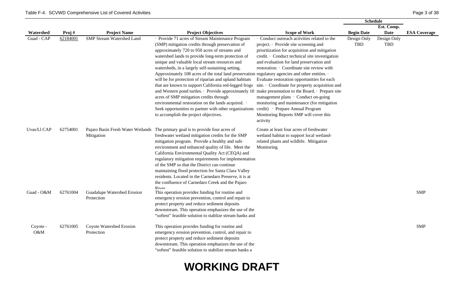|                    |          |                                           |                                                                                                                                                                                                                                                                                                                                                                                                                                                                                                                                                                                                                                                                                                                                                                                                                                                                                     |                                                                                                                                                                                                                                                                                                                                                                                                                                                                                                                             | <b>Schedule</b>    |                           |                     |
|--------------------|----------|-------------------------------------------|-------------------------------------------------------------------------------------------------------------------------------------------------------------------------------------------------------------------------------------------------------------------------------------------------------------------------------------------------------------------------------------------------------------------------------------------------------------------------------------------------------------------------------------------------------------------------------------------------------------------------------------------------------------------------------------------------------------------------------------------------------------------------------------------------------------------------------------------------------------------------------------|-----------------------------------------------------------------------------------------------------------------------------------------------------------------------------------------------------------------------------------------------------------------------------------------------------------------------------------------------------------------------------------------------------------------------------------------------------------------------------------------------------------------------------|--------------------|---------------------------|---------------------|
|                    |          |                                           |                                                                                                                                                                                                                                                                                                                                                                                                                                                                                                                                                                                                                                                                                                                                                                                                                                                                                     |                                                                                                                                                                                                                                                                                                                                                                                                                                                                                                                             |                    | Est. Comp.                |                     |
| Watershed          | Proj#    | <b>Project Name</b>                       | <b>Project Objectives</b>                                                                                                                                                                                                                                                                                                                                                                                                                                                                                                                                                                                                                                                                                                                                                                                                                                                           | <b>Scope of Work</b>                                                                                                                                                                                                                                                                                                                                                                                                                                                                                                        | <b>Begin Date</b>  | <b>Date</b>               | <b>ESA Coverage</b> |
| Guad - CAP         | 62184001 | <b>SMP Stream Watershed Land</b>          | · Provide 71 acres of Stream Maintenance Program<br>(SMP) mitigation credits through preservation of<br>approximately 720 to 950 acres of streams and<br>watershed lands to provide long-term protection of<br>unique and valuable local stream resources and<br>watersheds, in a largely self-sustaining setting.<br>Approximately 108 acres of the total land preservation regulatory agencies and other entities.<br>will be for protection of riparian and upland habitats<br>that are known to support California red-legged frogs<br>and Western pond turtles. • Provide approximately 10 make presentation to the Board. • Prepare site<br>acres of SMP mitigation credits through<br>environmental restoration on the lands acquired. .<br>Seek opportunities to partner with other organizations credit) • Prepare Annual Program<br>to accomplish the project objectives. | · Conduct outreach activities related to the<br>project. Provide site screening and<br>prioritization for acquisition and mitigation<br>credit. · Conduct technical site investigation<br>and evaluation for land preservation and<br>restoration. · Coordinate site review with<br>Evaluate restoration opportunities for each<br>site. Coordinate for property acquisition and<br>management plans · Conduct on-going<br>monitoring and maintenance (for mitigation<br>Monitoring Reports SMP will cover this<br>activity | Design Only<br>TBD | Design Only<br><b>TBD</b> |                     |
| Uvas/Ll CAP        | 62754001 | Mitigation                                | Pajaro Basin Fresh Water Wetlands The primary goal is to provide four acres of<br>freshwater wetland mitigation credits for the SMP<br>mitigation program. Provide a healthy and safe<br>environment and enhanced quality of life. Meet the<br>California Environmental Quality Act (CEQA) and<br>regulatory mitigation requirements for implementation<br>of the SMP so that the District can continue<br>maintaining flood protection for Santa Clara Valley<br>residents. Located in the Carnedaro Preserve, it is at<br>the confluence of Carnedaro Creek and the Pajaro<br>River                                                                                                                                                                                                                                                                                               | Create at least four acres of freshwater<br>wetland habitat to support local wetland-<br>related plants and wildlife. Mitigation<br>Monitoring                                                                                                                                                                                                                                                                                                                                                                              |                    |                           |                     |
| Guad - O&M         | 62761004 | Guadalupe Watershed Erosion<br>Protection | This operation provides funding for routine and<br>emergency erosion prevention, control and repair to<br>protect property and reduce sediment deposits<br>downstream. This operation emphasizes the use of the<br>"softest" feasible solution to stablize stream banks and                                                                                                                                                                                                                                                                                                                                                                                                                                                                                                                                                                                                         |                                                                                                                                                                                                                                                                                                                                                                                                                                                                                                                             |                    |                           | <b>SMP</b>          |
| Coyote -<br>$O\&M$ | 62761005 | Coyote Watershed Erosion<br>Protection    | This operation provides funding for routine and<br>emergency erosion prevention, control, and repair to<br>protect property and reduce sediment deposits<br>downstream. This operation emphasizes the use of the<br>"softest" feasible solution to stabilize stream banks a                                                                                                                                                                                                                                                                                                                                                                                                                                                                                                                                                                                                         |                                                                                                                                                                                                                                                                                                                                                                                                                                                                                                                             |                    |                           | <b>SMP</b>          |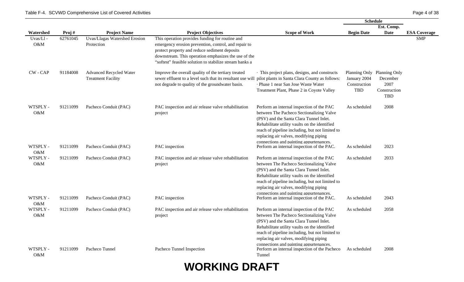|                 |          |                                                             |                                                                                                                                                                                                                                                                             |                                                                                                                                                                                                                                                                                                                           | <b>Schedule</b>                     |                                                                               |                     |
|-----------------|----------|-------------------------------------------------------------|-----------------------------------------------------------------------------------------------------------------------------------------------------------------------------------------------------------------------------------------------------------------------------|---------------------------------------------------------------------------------------------------------------------------------------------------------------------------------------------------------------------------------------------------------------------------------------------------------------------------|-------------------------------------|-------------------------------------------------------------------------------|---------------------|
|                 |          |                                                             |                                                                                                                                                                                                                                                                             |                                                                                                                                                                                                                                                                                                                           | Est. Comp.                          |                                                                               |                     |
| Watershed       | Proj#    | <b>Project Name</b>                                         | <b>Project Objectives</b>                                                                                                                                                                                                                                                   | <b>Scope of Work</b>                                                                                                                                                                                                                                                                                                      | <b>Begin Date</b>                   | Date                                                                          | <b>ESA Coverage</b> |
| Uvas/Ll-<br>O&M | 62761045 | Uvas/Llagas Watershed Erosion<br>Protection                 | This operation provides funding for routine and<br>emergency erosion prevention, control, and repair to<br>protect property and reduce sediment deposits<br>downstream. This operation emphasizes the use of the<br>"softest" feasible solution to stabilize stream banks a |                                                                                                                                                                                                                                                                                                                           |                                     |                                                                               | <b>SMP</b>          |
| CW - CAP        | 91184008 | <b>Advanced Recycled Water</b><br><b>Treatment Facility</b> | Improve the overall quality of the tertiary treated<br>sewer effluent to a level such that its resultant use will<br>not degrade to quality of the groundwater basin.                                                                                                       | · This project plans, designs, and constructs<br>pilot plants in Santa Clara County as follows:<br>· Phase 1 near San Jose Waste Water<br>Treatment Plant, Phase 2 in Coyote Valley                                                                                                                                       | January 2004<br>Construction<br>TBD | Planning Only Planning Only<br>December<br>2007<br>Construction<br><b>TBD</b> |                     |
| WTSPLY -<br>O&M | 91211099 | Pacheco Conduit (PAC)                                       | PAC inspection and air release valve rehabilitation<br>project                                                                                                                                                                                                              | Perform an internal inspection of the PAC<br>between The Pacheco Sectionalizing Valve<br>(PSV) and the Santa Clara Tunnel Inlet.<br>Rehabilitate utility vaults on the identified<br>reach of pipeline including, but not limited to<br>replacing air valves, modifying piping<br>connections and painting appurtenances. | As scheduled                        | 2008                                                                          |                     |
| WTSPLY -<br>O&M | 91211099 | Pacheco Conduit (PAC)                                       | PAC inspection                                                                                                                                                                                                                                                              | Perform an internal inspection of the PAC.                                                                                                                                                                                                                                                                                | As scheduled                        | 2023                                                                          |                     |
| WTSPLY -<br>O&M | 91211099 | Pacheco Conduit (PAC)                                       | PAC inspection and air release valve rehabilitation<br>project                                                                                                                                                                                                              | Perform an internal inspection of the PAC<br>between The Pacheco Sectionalizing Valve<br>(PSV) and the Santa Clara Tunnel Inlet.<br>Rehabilitate utility vaults on the identified<br>reach of pipeline including, but not limited to<br>replacing air valves, modifying piping<br>connections and painting appurtenances. | As scheduled                        | 2033                                                                          |                     |
| WTSPLY -<br>O&M | 91211099 | Pacheco Conduit (PAC)                                       | PAC inspection                                                                                                                                                                                                                                                              | Perform an internal inspection of the PAC.                                                                                                                                                                                                                                                                                | As scheduled                        | 2043                                                                          |                     |
| WTSPLY -<br>O&M | 91211099 | Pacheco Conduit (PAC)                                       | PAC inspection and air release valve rehabilitation<br>project                                                                                                                                                                                                              | Perform an internal inspection of the PAC<br>between The Pacheco Sectionalizing Valve<br>(PSV) and the Santa Clara Tunnel Inlet.<br>Rehabilitate utility vaults on the identified<br>reach of pipeline including, but not limited to<br>replacing air valves, modifying piping<br>connections and painting appurtenances. | As scheduled                        | 2058                                                                          |                     |
| WTSPLY -<br>O&M | 91211099 | Pacheco Tunnel                                              | Pacheco Tunnel Inspection                                                                                                                                                                                                                                                   | Perform an internal inspection of the Pacheco<br>Tunnel                                                                                                                                                                                                                                                                   | As scheduled                        | 2008                                                                          |                     |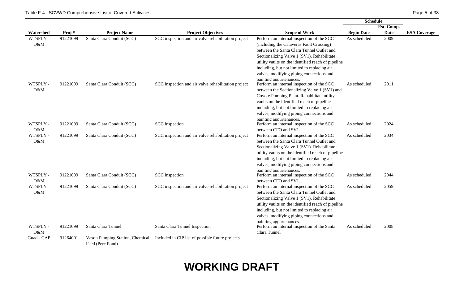|                 |          |                                                     |                                                     |                                                                                                                                                                                                                                                                                                                  | <b>Schedule</b>   |             |                     |
|-----------------|----------|-----------------------------------------------------|-----------------------------------------------------|------------------------------------------------------------------------------------------------------------------------------------------------------------------------------------------------------------------------------------------------------------------------------------------------------------------|-------------------|-------------|---------------------|
|                 |          |                                                     |                                                     |                                                                                                                                                                                                                                                                                                                  |                   | Est. Comp.  |                     |
| Watershed       | Proj#    | <b>Project Name</b>                                 | <b>Project Objectives</b>                           | <b>Scope of Work</b>                                                                                                                                                                                                                                                                                             | <b>Begin Date</b> | <b>Date</b> | <b>ESA Coverage</b> |
| WTSPLY -<br>O&M | 91221099 | Santa Clara Conduit (SCC)                           | SCC inspection and air valve rehabilitation project | Perform an internal inspection of the SCC<br>(including the Calaveras Fault Crossing)<br>between the Santa Clara Tunnel Outlet and<br>Sectionalizing Valve 1 (SV1). Rehabilitate                                                                                                                                 | As scheduled      | 2009        |                     |
| WTSPLY -<br>O&M | 91221099 | Santa Clara Conduit (SCC)                           | SCC inspection and air valve rehabilitation project | utility vaults on the identified reach of pipeline<br>including, but not limited to replacing air<br>valves, modifying piping connections and<br>painting appurtenances.<br>Perform an internal inspection of the SCC                                                                                            | As scheduled      | 2011        |                     |
|                 |          |                                                     |                                                     | between the Sectionalizing Valve 1 (SV1) and<br>Coyote Pumping Plant. Rehabilitate utility<br>vaults on the identified reach of pipeline<br>including, but not limited to replacing air<br>valves, modifying piping connections and<br>painting appurtenances.                                                   |                   |             |                     |
| WTSPLY -<br>O&M | 91221099 | Santa Clara Conduit (SCC)                           | SCC inspection                                      | Perform an internal inspection of the SCC<br>between CFO and SV1.                                                                                                                                                                                                                                                | As scheduled      | 2024        |                     |
| WTSPLY -<br>O&M | 91221099 | Santa Clara Conduit (SCC)                           | SCC inspection and air valve rehabilitation project | Perform an internal inspection of the SCC<br>between the Santa Clara Tunnel Outlet and<br>Sectionalizing Valve 1 (SV1). Rehabilitate<br>utility vaults on the identified reach of pipeline<br>including, but not limited to replacing air<br>valves, modifying piping connections and<br>painting appurtenances. | As scheduled      | 2034        |                     |
| WTSPLY -<br>O&M | 91221099 | Santa Clara Conduit (SCC)                           | SCC inspection                                      | Perform an internal inspection of the SCC<br>between CFO and SV1.                                                                                                                                                                                                                                                | As scheduled      | 2044        |                     |
| WTSPLY -<br>O&M | 91221099 | Santa Clara Conduit (SCC)                           | SCC inspection and air valve rehabilitation project | Perform an internal inspection of the SCC<br>between the Santa Clara Tunnel Outlet and<br>Sectionalizing Valve 1 (SV1). Rehabilitate<br>utility vaults on the identified reach of pipeline<br>including, but not limited to replacing air                                                                        | As scheduled      | 2059        |                     |
|                 |          |                                                     |                                                     | valves, modifying piping connections and<br>painting appurtenances.                                                                                                                                                                                                                                              |                   |             |                     |
| WTSPLY -<br>O&M | 91221099 | Santa Clara Tunnel                                  | Santa Clara Tunnel Inspection                       | Perform an internal inspection of the Santa<br>Clara Tunnel                                                                                                                                                                                                                                                      | As scheduled      | 2008        |                     |
| Guad - CAP      | 91264001 | Vason Pumping Station, Chemical<br>Feed (Perc Pond) | Included in CIP list of possible future projects    |                                                                                                                                                                                                                                                                                                                  |                   |             |                     |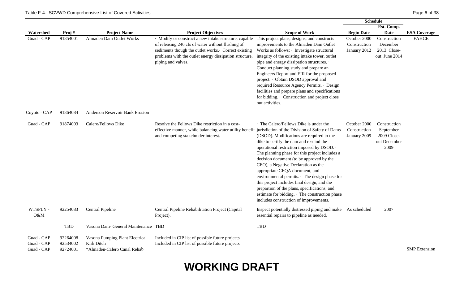|                                        |                                  |                                                                              |                                                                                                                                                                                                                                                   |                                                                                                                                                                                                                                                                                                                                                                                                                                                                                                                                                                                             | <b>Schedule</b>                              |                                                                  |                      |
|----------------------------------------|----------------------------------|------------------------------------------------------------------------------|---------------------------------------------------------------------------------------------------------------------------------------------------------------------------------------------------------------------------------------------------|---------------------------------------------------------------------------------------------------------------------------------------------------------------------------------------------------------------------------------------------------------------------------------------------------------------------------------------------------------------------------------------------------------------------------------------------------------------------------------------------------------------------------------------------------------------------------------------------|----------------------------------------------|------------------------------------------------------------------|----------------------|
|                                        |                                  |                                                                              |                                                                                                                                                                                                                                                   |                                                                                                                                                                                                                                                                                                                                                                                                                                                                                                                                                                                             |                                              | Est. Comp.                                                       |                      |
| Watershed                              | Proj#                            | <b>Project Name</b>                                                          | <b>Project Objectives</b>                                                                                                                                                                                                                         | <b>Scope of Work</b>                                                                                                                                                                                                                                                                                                                                                                                                                                                                                                                                                                        | <b>Begin Date</b>                            | Date                                                             | <b>ESA Coverage</b>  |
| Guad - CAP                             | 91854001                         | Almaden Dam Outlet Works                                                     | · Modify or construct a new intake structure, capable<br>of releasing 246 cfs of water without flushing of<br>sediments though the outlet works. Correct existing<br>problems with the outlet energy dissipation structure,<br>piping and valves. | This project plans, designs, and constructs<br>improvements to the Almaden Dam Outlet<br>Works as follows: · Investigate structural<br>integrity of the existing intake tower, outlet<br>pipe and energy dissipation structures. .<br>Conduct planning study and prepare an<br>Engineers Report and EIR for the proposed<br>project. · Obtain DSOD approval and<br>required Resource Agency Permits. · Design<br>facilities and prepare plans and specifications<br>for bidding. Construction and project close<br>out activities.                                                          | October 2000<br>Construction<br>January 2012 | Construction<br>December<br>2013 Close-<br>out June 2014         | <b>FAHCE</b>         |
| Coyote - CAP                           | 91864084                         | <b>Anderson Reservoir Bank Erosion</b>                                       |                                                                                                                                                                                                                                                   |                                                                                                                                                                                                                                                                                                                                                                                                                                                                                                                                                                                             |                                              |                                                                  |                      |
| Guad - CAP                             | 91874003                         | Calero/Fellows Dike                                                          | Resolve the Fellows Dike restriction in a cost-<br>effective manner, while balancing water utility benefit jurisdiction of the Division of Safety of Dams<br>and competing stakeholder interest.                                                  | · The Calero/Fellows Dike is under the<br>(DSOD). Modifications are required to the<br>dike to certify the dam and rescind the<br>operational restriction imposed by DSOD. .<br>The planning phase for this project includes a<br>decision document (to be approved by the<br>CEO), a Negative Declaration as the<br>appropriate CEQA document, and<br>environmental permits. The design phase for<br>this project includes final design, and the<br>prepartion of the plans, specifications, and<br>estimate for bidding. The construction phase<br>includes construction of improvements. | October 2000<br>Construction<br>January 2009 | Construction<br>September<br>2009 Close-<br>out December<br>2009 |                      |
| WTSPLY -<br>O&M                        | 92254083                         | Central Pipeline                                                             | Central Pipeline Rehabilitation Project (Capital<br>Project).                                                                                                                                                                                     | Inspect potentially distressed piping and make As scheduled<br>essential repairs to pipeline as needed.                                                                                                                                                                                                                                                                                                                                                                                                                                                                                     |                                              | 2007                                                             |                      |
|                                        | <b>TBD</b>                       | Vasona Dam- General Maintenance TBD                                          |                                                                                                                                                                                                                                                   | <b>TBD</b>                                                                                                                                                                                                                                                                                                                                                                                                                                                                                                                                                                                  |                                              |                                                                  |                      |
| Guad - CAP<br>Guad - CAP<br>Guad - CAP | 92264008<br>92534002<br>92724001 | Vasona Pumping Plant Electrical<br>Kirk Ditch<br>*Almaden-Calero Canal Rehab | Included in CIP list of possible future projects<br>Included in CIP list of possible future projects                                                                                                                                              |                                                                                                                                                                                                                                                                                                                                                                                                                                                                                                                                                                                             |                                              |                                                                  | <b>SMP</b> Extension |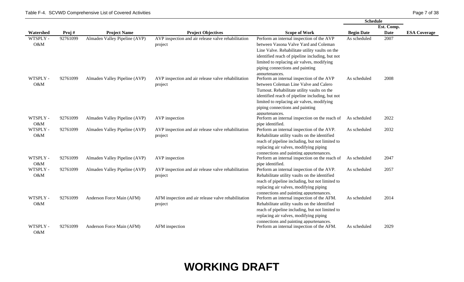O&M

|                 |          |                               |                                                                |                                                                                                                                                                                                                                                                                            | <b>Schedule</b>   |             |                     |  |
|-----------------|----------|-------------------------------|----------------------------------------------------------------|--------------------------------------------------------------------------------------------------------------------------------------------------------------------------------------------------------------------------------------------------------------------------------------------|-------------------|-------------|---------------------|--|
|                 |          |                               |                                                                |                                                                                                                                                                                                                                                                                            |                   | Est. Comp.  |                     |  |
| Watershed       | Proj#    | <b>Project Name</b>           | <b>Project Objectives</b>                                      | <b>Scope of Work</b>                                                                                                                                                                                                                                                                       | <b>Begin Date</b> | <b>Date</b> | <b>ESA Coverage</b> |  |
| WTSPLY -<br>O&M | 92761099 | Almaden Valley Pipeline (AVP) | AVP inspection and air release valve rehabilitation<br>project | Perform an internal inspection of the AVP<br>between Vasona Valve Yard and Coleman<br>Line Valve. Rehabilitate utility vaults on the<br>identified reach of pipeline including, but not<br>limited to replacing air valves, modifying<br>piping connections and painting<br>appurtenances. | As scheduled      | 2007        |                     |  |
| WTSPLY -<br>O&M | 92761099 | Almaden Valley Pipeline (AVP) | AVP inspection and air release valve rehabilitation<br>project | Perform an internal inspection of the AVP<br>between Coleman Line Valve and Calero<br>Turnout. Rehabilitate utility vaults on the<br>identified reach of pipeline including, but not<br>limited to replacing air valves, modifying<br>piping connections and painting<br>appurtenances.    | As scheduled      | 2008        |                     |  |
| WTSPLY -<br>O&M | 92761099 | Almaden Valley Pipeline (AVP) | AVP inspection                                                 | Perform an internal inspection on the reach of<br>pipe identified.                                                                                                                                                                                                                         | As scheduled      | 2022        |                     |  |
| WTSPLY -<br>O&M | 92761099 | Almaden Valley Pipeline (AVP) | AVP inspection and air release valve rehabilitation<br>project | Perform an internal inspection of the AVP.<br>Rehabilitate utility vaults on the identified<br>reach of pipeline including, but not limited to<br>replacing air valves, modifying piping<br>connections and painting appurtenances.                                                        | As scheduled      | 2032        |                     |  |
| WTSPLY -<br>O&M | 92761099 | Almaden Valley Pipeline (AVP) | AVP inspection                                                 | Perform an internal inspection on the reach of<br>pipe identified.                                                                                                                                                                                                                         | As scheduled      | 2047        |                     |  |
| WTSPLY -<br>O&M | 92761099 | Almaden Valley Pipeline (AVP) | AVP inspection and air release valve rehabilitation<br>project | Perform an internal inspection of the AVP.<br>Rehabilitate utility vaults on the identified<br>reach of pipeline including, but not limited to<br>replacing air valves, modifying piping<br>connections and painting appurtenances.                                                        | As scheduled      | 2057        |                     |  |
| WTSPLY -<br>O&M | 92761099 | Anderson Force Main (AFM)     | AFM inspection and air release valve rehabilitation<br>project | Perform an internal inspection of the AFM.<br>Rehabilitate utility vaults on the identified<br>reach of pipeline including, but not limited to<br>replacing air valves, modifying piping<br>connections and painting appurtenances.                                                        | As scheduled      | 2014        |                     |  |
| WTSPLY -        | 92761099 | Anderson Force Main (AFM)     | AFM inspection                                                 | Perform an internal inspection of the AFM.                                                                                                                                                                                                                                                 | As scheduled      | 2029        |                     |  |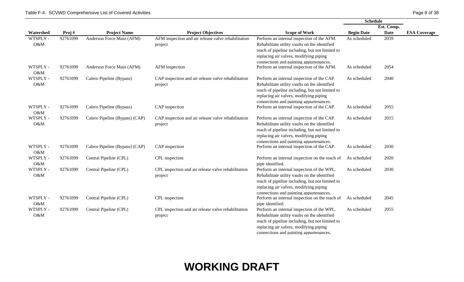|                 |          |                                |                                                                |                                                                                                                                                                                                                                     | <b>Schedule</b>   |             |                     |
|-----------------|----------|--------------------------------|----------------------------------------------------------------|-------------------------------------------------------------------------------------------------------------------------------------------------------------------------------------------------------------------------------------|-------------------|-------------|---------------------|
|                 |          |                                |                                                                |                                                                                                                                                                                                                                     |                   | Est. Comp.  |                     |
| Watershed       | Proj#    | <b>Project Name</b>            | <b>Project Objectives</b>                                      | <b>Scope of Work</b>                                                                                                                                                                                                                | <b>Begin Date</b> | <b>Date</b> | <b>ESA Coverage</b> |
| WTSPLY -<br>O&M | 92761099 | Anderson Force Main (AFM)      | AFM inspection and air release valve rehabilitation<br>project | Perform an internal inspection of the AFM.<br>Rehabilitate utility vaults on the identified<br>reach of pipeline including, but not limited to<br>replacing air valves, modifying piping<br>connections and painting appurtenances. | As scheduled      | 2039        |                     |
| WTSPLY -<br>O&M | 92761099 | Anderson Force Main (AFM)      | AFM inspection                                                 | Perform an internal inspection of the AFM.                                                                                                                                                                                          | As scheduled      | 2054        |                     |
| WTSPLY -<br>O&M | 92761099 | Calero Pipeline (Bypass)       | CAP inspection and air release valve rehabilitation<br>project | Perform an internal inspection of the CAP.<br>Rehabilitate utility vaults on the identified<br>reach of pipeline including, but not limited to<br>replacing air valves, modifying piping<br>connections and painting appurtenances. | As scheduled      | 2040        |                     |
| WTSPLY -<br>O&M | 92761099 | Calero Pipeline (Bypass)       | CAP inspection                                                 | Perform an internal inspection of the CAP.                                                                                                                                                                                          | As scheduled      | 2055        |                     |
| WTSPLY -<br>O&M | 92761099 | Calero Pipeline (Bypass) (CAP) | CAP inspection and air release valve rehabilitation<br>project | Perform an internal inspection of the CAP.<br>Rehabilitate utility vaults on the identified<br>reach of pipeline including, but not limited to<br>replacing air valves, modifying piping<br>connections and painting appurtenances. | As scheduled      | 2015        |                     |
| WTSPLY -<br>O&M | 92761099 | Calero Pipeline (Bypass) (CAP) | CAP inspection                                                 | Perform an internal inspection of the CAP.                                                                                                                                                                                          | As scheduled      | 2030        |                     |
| WTSPLY -<br>O&M | 92761099 | Central Pipeline (CPL)         | CPL inspection                                                 | Perform an internal inspection on the reach of<br>pipe identified.                                                                                                                                                                  | As scheduled      | 2020        |                     |
| WTSPLY -<br>O&M | 92761099 | Central Pipeline (CPL)         | CPL inspection and air release valve rehabilitation<br>project | Perform an internal inspection of the WPL.<br>Rehabilitate utility vaults on the identified<br>reach of pipeline including, but not limited to<br>replacing air valves, modifying piping<br>connections and painting appurtenances. | As scheduled      | 2030        |                     |
| WTSPLY -<br>O&M | 92761099 | Central Pipeline (CPL)         | CPL inspection                                                 | Perform an internal inspection on the reach of<br>pipe identified.                                                                                                                                                                  | As scheduled      | 2045        |                     |
| WTSPLY -<br>O&M | 92761099 | Central Pipeline (CPL)         | CPL inspection and air release valve rehabilitation<br>project | Perform an internal inspection of the WPL.<br>Rehabilitate utility vaults on the identified<br>reach of pipeline including, but not limited to<br>replacing air valves, modifying piping<br>connections and painting appurtenances. | As scheduled      | 2055        |                     |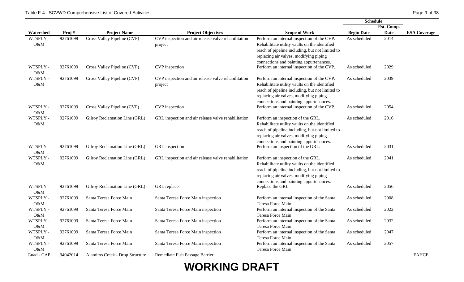|                 |          |                                 |                                                                |                                                                                                                                                                                                                                     | <b>Schedule</b>   |             |                     |
|-----------------|----------|---------------------------------|----------------------------------------------------------------|-------------------------------------------------------------------------------------------------------------------------------------------------------------------------------------------------------------------------------------|-------------------|-------------|---------------------|
|                 |          |                                 |                                                                |                                                                                                                                                                                                                                     |                   | Est. Comp.  |                     |
| Watershed       | Proj#    | <b>Project Name</b>             | <b>Project Objectives</b>                                      | <b>Scope of Work</b>                                                                                                                                                                                                                | <b>Begin Date</b> | <b>Date</b> | <b>ESA Coverage</b> |
| WTSPLY -<br>O&M | 92761099 | Cross Valley Pipeline (CVP)     | CVP inspection and air release valve rehabilitation<br>project | Perform an internal inspection of the CVP.<br>Rehabilitate utility vaults on the identified<br>reach of pipeline including, but not limited to<br>replacing air valves, modifying piping<br>connections and painting appurtenances. | As scheduled      | 2014        |                     |
| WTSPLY -<br>O&M | 92761099 | Cross Valley Pipeline (CVP)     | CVP inspection                                                 | Perform an internal inspection of the CVP.                                                                                                                                                                                          | As scheduled      | 2029        |                     |
| WTSPLY -<br>O&M | 92761099 | Cross Valley Pipeline (CVP)     | CVP inspection and air release valve rehabilitation<br>project | Perform an internal inspection of the CVP.<br>Rehabilitate utility vaults on the identified<br>reach of pipeline including, but not limited to<br>replacing air valves, modifying piping<br>connections and painting appurtenances. | As scheduled      | 2039        |                     |
| WTSPLY -<br>O&M | 92761099 | Cross Valley Pipeline (CVP)     | CVP inspection                                                 | Perform an internal inspection of the CVP.                                                                                                                                                                                          | As scheduled      | 2054        |                     |
| WTSPLY -<br>O&M | 92761099 | Gilroy Reclamation Line (GRL)   | GRL inspection and air release valve rehabilitation.           | Perform an inspection of the GRL.<br>Rehabilitate utility vaults on the identified<br>reach of pipeline including, but not limited to<br>replacing air valves, modifying piping<br>connections and painting appurtenances.          | As scheduled      | 2016        |                     |
| WTSPLY -<br>O&M | 92761099 | Gilroy Reclamation Line (GRL)   | GRL inspection                                                 | Perform an inspection of the GRL.                                                                                                                                                                                                   | As scheduled      | 2031        |                     |
| WTSPLY -<br>O&M | 92761099 | Gilroy Reclamation Line (GRL)   | GRL inspection and air release valve rehabilitation.           | Perform an inspection of the GRL.<br>Rehabilitate utility vaults on the identified<br>reach of pipeline including, but not limited to<br>replacing air valves, modifying piping<br>connections and painting appurtenances.          | As scheduled      | 2041        |                     |
| WTSPLY -<br>O&M | 92761099 | Gilroy Reclamation Line (GRL)   | GRL replace                                                    | Replace the GRL.                                                                                                                                                                                                                    | As scheduled      | 2056        |                     |
| WTSPLY -<br>O&M | 92761099 | Santa Teresa Force Main         | Santa Teresa Force Main inspection                             | Perform an internal inspection of the Santa<br>Teresa Force Main                                                                                                                                                                    | As scheduled      | 2008        |                     |
| WTSPLY -<br>O&M | 92761099 | Santa Teresa Force Main         | Santa Teresa Force Main inspection                             | Perform an internal inspection of the Santa<br>Teresa Force Main                                                                                                                                                                    | As scheduled      | 2022        |                     |
| WTSPLY -<br>O&M | 92761099 | Santa Teresa Force Main         | Santa Teresa Force Main inspection                             | Perform an internal inspection of the Santa<br>Teresa Force Main                                                                                                                                                                    | As scheduled      | 2032        |                     |
| WTSPLY -<br>O&M | 92761099 | Santa Teresa Force Main         | Santa Teresa Force Main inspection                             | Perform an internal inspection of the Santa<br>Teresa Force Main                                                                                                                                                                    | As scheduled      | 2047        |                     |
| WTSPLY -<br>O&M | 92761099 | Santa Teresa Force Main         | Santa Teresa Force Main inspection                             | Perform an internal inspection of the Santa<br>Teresa Force Main                                                                                                                                                                    | As scheduled      | 2057        |                     |
| Guad - CAP      | 94042014 | Alamitos Creek - Drop Structure | Remediate Fish Passage Barrier                                 |                                                                                                                                                                                                                                     |                   |             | <b>FAHCE</b>        |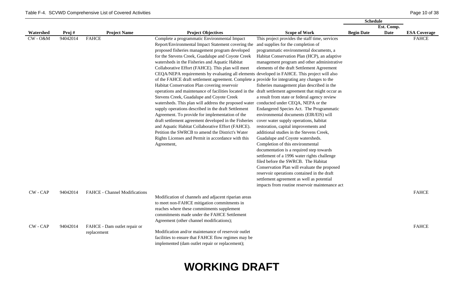|             |          |                               |                                                                                                        |                                                | <b>Schedule</b>   |             |                     |
|-------------|----------|-------------------------------|--------------------------------------------------------------------------------------------------------|------------------------------------------------|-------------------|-------------|---------------------|
|             |          |                               |                                                                                                        |                                                |                   | Est. Comp.  |                     |
| Watershed   | Proj#    | <b>Project Name</b>           | <b>Project Objectives</b>                                                                              | <b>Scope of Work</b>                           | <b>Begin Date</b> | <b>Date</b> | <b>ESA Coverage</b> |
| $CW - O\&M$ | 94042014 | <b>FAHCE</b>                  | Complete a programmatic Environmental Impact                                                           | This project provides the staff time, services |                   |             | <b>FAHCE</b>        |
|             |          |                               | Report/Environmental Impact Statement covering the                                                     | and supplies for the completion of             |                   |             |                     |
|             |          |                               | proposed fisheries management program developed                                                        | programmatic environmental documents, a        |                   |             |                     |
|             |          |                               | for the Stevens Creek, Guadalupe and Coyote Creek                                                      | Habitat Conservation Plan (HCP), an adaptive   |                   |             |                     |
|             |          |                               | watersheds in the Fisheries and Aquatic Habitat                                                        | management program and other administrative    |                   |             |                     |
|             |          |                               | Collaborative Effort (FAHCE). This plan will meet                                                      | elements of the draft Settlement Agreement     |                   |             |                     |
|             |          |                               | CEQA/NEPA requirements by evaluating all elements developed in FAHCE. This project will also           |                                                |                   |             |                     |
|             |          |                               | of the FAHCE draft settlement agreement. Complete a provide for integrating any changes to the         |                                                |                   |             |                     |
|             |          |                               | Habitat Conservation Plan covering reservoir                                                           | fisheries management plan described in the     |                   |             |                     |
|             |          |                               | operations and maintenance of facilities located in the draft settlement agreement that might occur as |                                                |                   |             |                     |
|             |          |                               | Stevens Creek, Guadalupe and Coyote Creek                                                              | a result from state or federal agency review   |                   |             |                     |
|             |          |                               | watersheds. This plan will address the proposed water conducted under CEQA, NEPA or the                |                                                |                   |             |                     |
|             |          |                               | supply operations described in the draft Settlement                                                    | Endangered Species Act. The Programmatic       |                   |             |                     |
|             |          |                               | Agreement. To provide for implementation of the                                                        | environmental documents (EIR/EIS) will         |                   |             |                     |
|             |          |                               | draft settlement agreement developed in the Fisheries                                                  | cover water supply operations, habitat         |                   |             |                     |
|             |          |                               | and Aquatic Habitat Collaborative Effort (FAHCE).                                                      | restoration, capital improvements and          |                   |             |                     |
|             |          |                               | Petition the SWRCB to amend the District's Water                                                       | additional studies in the Stevens Creek,       |                   |             |                     |
|             |          |                               | Rights Licenses and Permit in accordance with this                                                     | Guadalupe and Coyote watersheds.               |                   |             |                     |
|             |          |                               | Agreement,                                                                                             | Completion of this environmental               |                   |             |                     |
|             |          |                               |                                                                                                        | documentation is a required step towards       |                   |             |                     |
|             |          |                               |                                                                                                        | settlement of a 1996 water rights challenge    |                   |             |                     |
|             |          |                               |                                                                                                        | filed before the SWRCB. The Habitat            |                   |             |                     |
|             |          |                               |                                                                                                        | Conservation Plan will evaluate the proposed   |                   |             |                     |
|             |          |                               |                                                                                                        | reservoir operations contained in the draft    |                   |             |                     |
|             |          |                               |                                                                                                        | settlement agreement as well as potential      |                   |             |                     |
|             |          |                               |                                                                                                        | impacts from routine reservoir maintenance act |                   |             |                     |
| CW - CAP    | 94042014 | FAHCE - Channel Modifications |                                                                                                        |                                                |                   |             | <b>FAHCE</b>        |
|             |          |                               | Modification of channels and adjacent riparian areas                                                   |                                                |                   |             |                     |
|             |          |                               | to meet non-FAHCE mitigation commitments in                                                            |                                                |                   |             |                     |
|             |          |                               | reaches where these commitments supplement                                                             |                                                |                   |             |                     |
|             |          |                               | commitments made under the FAHCE Settlement                                                            |                                                |                   |             |                     |
|             |          |                               | Agreement (other channel modifications);                                                               |                                                |                   |             |                     |
| CW - CAP    | 94042014 | FAHCE - Dam outlet repair or  |                                                                                                        |                                                |                   |             | <b>FAHCE</b>        |
|             |          | replacement                   | Modification and/or maintenance of reservoir outlet                                                    |                                                |                   |             |                     |
|             |          |                               | facilities to ensure that FAHCE flow regimes may be                                                    |                                                |                   |             |                     |
|             |          |                               | implemented (dam outlet repair or replacement);                                                        |                                                |                   |             |                     |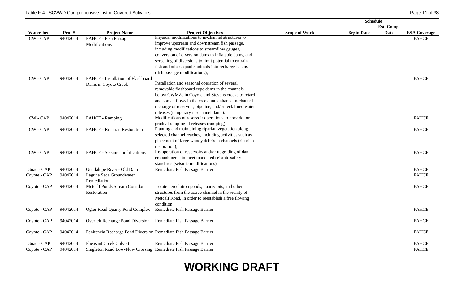|              |          |                                                                   |                                                         |                      | <b>Schedule</b>   |             |                     |
|--------------|----------|-------------------------------------------------------------------|---------------------------------------------------------|----------------------|-------------------|-------------|---------------------|
|              |          |                                                                   |                                                         |                      |                   | Est. Comp.  |                     |
| Watershed    | Proj#    | <b>Project Name</b>                                               | <b>Project Objectives</b>                               | <b>Scope of Work</b> | <b>Begin Date</b> | <b>Date</b> | <b>ESA Coverage</b> |
| $CW - CAP$   | 94042014 | FAHCE - Fish Passage                                              | Physical modifications to in-channel structures to      |                      |                   |             | <b>FAHCE</b>        |
|              |          | Modifications                                                     | improve upstream and downstream fish passage,           |                      |                   |             |                     |
|              |          |                                                                   | including modifications to streamflow gauges,           |                      |                   |             |                     |
|              |          |                                                                   | conversion of diversion dams to inflatable dams, and    |                      |                   |             |                     |
|              |          |                                                                   | screening of diversions to limit potential to entrain   |                      |                   |             |                     |
|              |          |                                                                   | fish and other aquatic animals into recharge basins     |                      |                   |             |                     |
|              |          |                                                                   | (fish passage modifications);                           |                      |                   |             |                     |
| CW - CAP     | 94042014 | FAHCE - Installation of Flashboard                                |                                                         |                      |                   |             | <b>FAHCE</b>        |
|              |          | Dams in Coyote Creek                                              | Installation and seasonal operation of several          |                      |                   |             |                     |
|              |          |                                                                   | removable flashboard-type dams in the channels          |                      |                   |             |                     |
|              |          |                                                                   | below CWMZs in Coyote and Stevens creeks to retard      |                      |                   |             |                     |
|              |          |                                                                   | and spread flows in the creek and enhance in-channel    |                      |                   |             |                     |
|              |          |                                                                   | recharge of reservoir, pipeline, and/or reclaimed water |                      |                   |             |                     |
|              |          |                                                                   | releases (temporary in-channel dams).                   |                      |                   |             |                     |
| CW - CAP     | 94042014 | FAHCE - Ramping                                                   | Modifications of reservoir operations to provide for    |                      |                   |             | <b>FAHCE</b>        |
|              |          |                                                                   | gradual ramping of releases (ramping)                   |                      |                   |             |                     |
| $CW - CAP$   | 94042014 | FAHCE - Riparian Restoration                                      | Planting and maintaining riparian vegetation along      |                      |                   |             | <b>FAHCE</b>        |
|              |          |                                                                   | selected channel reaches, including activities such as  |                      |                   |             |                     |
|              |          |                                                                   | placement of large woody debris in channels (riparian   |                      |                   |             |                     |
|              |          |                                                                   | restoration);                                           |                      |                   |             |                     |
| $CW - CAP$   | 94042014 | FAHCE - Seismic modifications                                     | Re-operation of reservoirs and/or upgrading of dam      |                      |                   |             | <b>FAHCE</b>        |
|              |          |                                                                   | embankments to meet mandated seismic safety             |                      |                   |             |                     |
|              |          |                                                                   | standards (seismic modifications);                      |                      |                   |             |                     |
| Guad - CAP   | 94042014 | Guadalupe River - Old Dam                                         | Remediate Fish Passage Barrier                          |                      |                   |             | <b>FAHCE</b>        |
| Coyote - CAP | 94042014 | Laguna Seca Groundwater                                           |                                                         |                      |                   |             | <b>FAHCE</b>        |
|              |          | Remediation                                                       |                                                         |                      |                   |             |                     |
| Coyote - CAP | 94042014 | Metcalf Ponds Stream Corridor                                     | Isolate percolation ponds, quarry pits, and other       |                      |                   |             | <b>FAHCE</b>        |
|              |          | Restoration                                                       | structures from the active channel in the vicinty of    |                      |                   |             |                     |
|              |          |                                                                   | Metcalf Road, in order to reestablish a free flowing    |                      |                   |             |                     |
|              | 94042014 | Ogier Road Quarry Pond Complex                                    | condition<br>Remediate Fish Passage Barrier             |                      |                   |             | <b>FAHCE</b>        |
| Coyote - CAP |          |                                                                   |                                                         |                      |                   |             |                     |
| Coyote - CAP | 94042014 | Overfelt Recharge Pond Diversion Remediate Fish Passage Barrier   |                                                         |                      |                   |             | <b>FAHCE</b>        |
|              |          |                                                                   |                                                         |                      |                   |             |                     |
| Coyote - CAP | 94042014 | Penitencia Recharge Pond Diversion Remediate Fish Passage Barrier |                                                         |                      |                   |             | <b>FAHCE</b>        |
| Guad - CAP   | 94042014 | <b>Pheasant Creek Culvert</b>                                     | Remediate Fish Passage Barrier                          |                      |                   |             | <b>FAHCE</b>        |
| Coyote - CAP | 94042014 | Singleton Road Low-Flow Crossing Remediate Fish Passage Barrier   |                                                         |                      |                   |             | <b>FAHCE</b>        |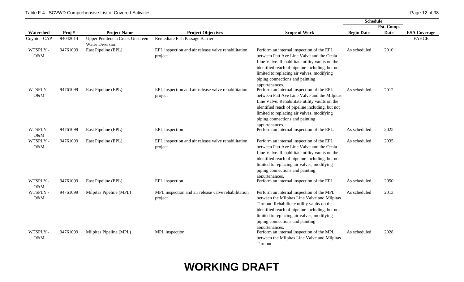|                 |          |                                                           |                                                                |                                                                                                                                                                                                                                                                                                   | <b>Schedule</b>   |             |                     |
|-----------------|----------|-----------------------------------------------------------|----------------------------------------------------------------|---------------------------------------------------------------------------------------------------------------------------------------------------------------------------------------------------------------------------------------------------------------------------------------------------|-------------------|-------------|---------------------|
|                 |          |                                                           |                                                                |                                                                                                                                                                                                                                                                                                   |                   | Est. Comp.  |                     |
| Watershed       | Proj#    | <b>Project Name</b>                                       | <b>Project Objectives</b>                                      | <b>Scope of Work</b>                                                                                                                                                                                                                                                                              | <b>Begin Date</b> | <b>Date</b> | <b>ESA Coverage</b> |
| Coyote - CAP    | 94042014 | Upper Penitencia Creek Unscreen<br><b>Water Diversion</b> | Remediate Fish Passage Barrier                                 |                                                                                                                                                                                                                                                                                                   |                   |             | <b>FAHCE</b>        |
| WTSPLY -<br>O&M | 94761099 | East Pipeline (EPL)                                       | EPL inspection and air release valve rehabilitation<br>project | Perform an internal inspection of the EPL<br>between Patt Ave Line Valve and the Ocala<br>Line Valve. Rehabilitate utility vaults on the<br>identified reach of pipeline including, but not<br>limited to replacing air valves, modifying<br>piping connections and painting<br>appurtenances.    | As scheduled      | 2010        |                     |
| WTSPLY -<br>O&M | 94761099 | East Pipeline (EPL)                                       | EPL inspection and air release valve rehabilitation<br>project | Perform an internal inspection of the EPL<br>between Patt Ave Line Valve and the Milpitas<br>Line Valve. Rehabilitate utility vaults on the<br>identified reach of pipeline including, but not<br>limited to replacing air valves, modifying<br>piping connections and painting<br>appurtenances. | As scheduled      | 2012        |                     |
| WTSPLY -<br>O&M | 94761099 | East Pipeline (EPL)                                       | EPL inspection                                                 | Perform an internal inspection of the EPL.                                                                                                                                                                                                                                                        | As scheduled      | 2025        |                     |
| WTSPLY -<br>O&M | 94761099 | East Pipeline (EPL)                                       | EPL inspection and air release valve rehabilitation<br>project | Perform an internal inspection of the EPL<br>between Patt Ave Line Valve and the Ocala<br>Line Valve. Rehabilitate utility vaults on the<br>identified reach of pipeline including, but not<br>limited to replacing air valves, modifying<br>piping connections and painting<br>appurtenances.    | As scheduled      | 2035        |                     |
| WTSPLY -<br>O&M | 94761099 | East Pipeline (EPL)                                       | EPL inspection                                                 | Perform an internal inspection of the EPL.                                                                                                                                                                                                                                                        | As scheduled      | 2050        |                     |
| WTSPLY -<br>O&M | 94761099 | Milpitas Pipeline (MPL)                                   | MPL inspection and air release valve rehabilitation<br>project | Perform an internal inspection of the MPL<br>between the Milpitas Line Valve and Milpitas<br>Turnout. Rehabilitate utility vaults on the<br>identified reach of pipeline including, but not<br>limited to replacing air valves, modifying<br>piping connections and painting<br>appurtenances.    | As scheduled      | 2013        |                     |
| WTSPLY -<br>O&M | 94761099 | Milpitas Pipeline (MPL)                                   | MPL inspection                                                 | Perform an internal inspection of the MPL<br>between the Milpitas Line Valve and Milpitas<br>Turnout.                                                                                                                                                                                             | As scheduled      | 2028        |                     |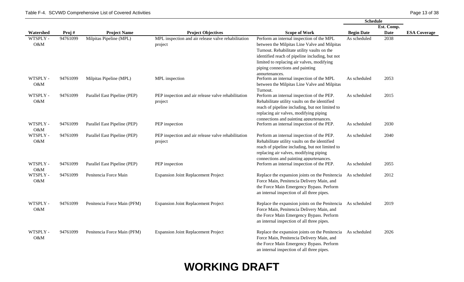|                 |          |                              |                                                                |                                                                                                                                                                                                                                                                                                | <b>Schedule</b>   |             |                     |
|-----------------|----------|------------------------------|----------------------------------------------------------------|------------------------------------------------------------------------------------------------------------------------------------------------------------------------------------------------------------------------------------------------------------------------------------------------|-------------------|-------------|---------------------|
|                 |          |                              |                                                                |                                                                                                                                                                                                                                                                                                |                   | Est. Comp.  |                     |
| Watershed       | Proj#    | <b>Project Name</b>          | <b>Project Objectives</b>                                      | <b>Scope of Work</b>                                                                                                                                                                                                                                                                           | <b>Begin Date</b> | <b>Date</b> | <b>ESA Coverage</b> |
| WTSPLY -<br>O&M | 94761099 | Milpitas Pipeline (MPL)      | MPL inspection and air release valve rehabilitation<br>project | Perform an internal inspection of the MPL<br>between the Milpitas Line Valve and Milpitas<br>Turnout. Rehabilitate utility vaults on the<br>identified reach of pipeline including, but not<br>limited to replacing air valves, modifying<br>piping connections and painting<br>appurtenances. | As scheduled      | 2038        |                     |
| WTSPLY -<br>O&M | 94761099 | Milpitas Pipeline (MPL)      | MPL inspection                                                 | Perform an internal inspection of the MPL<br>between the Milpitas Line Valve and Milpitas<br>Turnout.                                                                                                                                                                                          | As scheduled      | 2053        |                     |
| WTSPLY -<br>O&M | 94761099 | Parallel East Pipeline (PEP) | PEP inspection and air release valve rehabilitation<br>project | Perform an internal inspection of the PEP.<br>Rehabilitate utility vaults on the identified<br>reach of pipeline including, but not limited to<br>replacing air valves, modifying piping<br>connections and painting appurtenances.                                                            | As scheduled      | 2015        |                     |
| WTSPLY -<br>O&M | 94761099 | Parallel East Pipeline (PEP) | PEP inspection                                                 | Perform an internal inspection of the PEP.                                                                                                                                                                                                                                                     | As scheduled      | 2030        |                     |
| WTSPLY -<br>O&M | 94761099 | Parallel East Pipeline (PEP) | PEP inspection and air release valve rehabilitation<br>project | Perform an internal inspection of the PEP.<br>Rehabilitate utility vaults on the identified<br>reach of pipeline including, but not limited to<br>replacing air valves, modifying piping<br>connections and painting appurtenances.                                                            | As scheduled      | 2040        |                     |
| WTSPLY -<br>O&M | 94761099 | Parallel East Pipeline (PEP) | PEP inspection                                                 | Perform an internal inspection of the PEP.                                                                                                                                                                                                                                                     | As scheduled      | 2055        |                     |
| WTSPLY -<br>O&M | 94761099 | Penitencia Force Main        | <b>Expansion Joint Replacement Project</b>                     | Replace the expansion joints on the Penitencia As scheduled<br>Force Main, Penitencia Delivery Main, and<br>the Force Main Emergency Bypass. Perform<br>an internal inspection of all three pipes.                                                                                             |                   | 2012        |                     |
| WTSPLY -<br>O&M | 94761099 | Penitencia Force Main (PFM)  | <b>Expansion Joint Replacement Project</b>                     | Replace the expansion joints on the Penitencia As scheduled<br>Force Main, Penitencia Delivery Main, and<br>the Force Main Emergency Bypass. Perform<br>an internal inspection of all three pipes.                                                                                             |                   | 2019        |                     |
| WTSPLY -<br>O&M | 94761099 | Penitencia Force Main (PFM)  | <b>Expansion Joint Replacement Project</b>                     | Replace the expansion joints on the Penitencia As scheduled<br>Force Main, Penitencia Delivery Main, and<br>the Force Main Emergency Bypass. Perform<br>an internal inspection of all three pipes.                                                                                             |                   | 2026        |                     |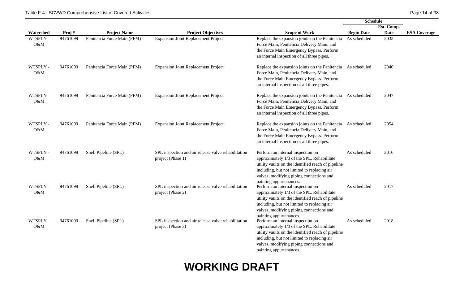|                 |          |                             |                                                                          |                                                                                                                                                                                                                                                                                        | <b>Schedule</b>   |             |                     |
|-----------------|----------|-----------------------------|--------------------------------------------------------------------------|----------------------------------------------------------------------------------------------------------------------------------------------------------------------------------------------------------------------------------------------------------------------------------------|-------------------|-------------|---------------------|
|                 |          |                             |                                                                          |                                                                                                                                                                                                                                                                                        |                   | Est. Comp.  |                     |
| Watershed       | Proj#    | <b>Project Name</b>         | <b>Project Objectives</b>                                                | <b>Scope of Work</b>                                                                                                                                                                                                                                                                   | <b>Begin Date</b> | <b>Date</b> | <b>ESA Coverage</b> |
| WTSPLY -<br>O&M | 94761099 | Penitencia Force Main (PFM) | <b>Expansion Joint Replacement Project</b>                               | Replace the expansion joints on the Penitencia<br>Force Main, Penitencia Delivery Main, and<br>the Force Main Emergency Bypass. Perform<br>an internal inspection of all three pipes.                                                                                                  | As scheduled      | 2033        |                     |
| WTSPLY -<br>O&M | 94761099 | Penitencia Force Main (PFM) | <b>Expansion Joint Replacement Project</b>                               | Replace the expansion joints on the Penitencia As scheduled<br>Force Main, Penitencia Delivery Main, and<br>the Force Main Emergency Bypass. Perform<br>an internal inspection of all three pipes.                                                                                     |                   | 2040        |                     |
| WTSPLY -<br>O&M | 94761099 | Penitencia Force Main (PFM) | <b>Expansion Joint Replacement Project</b>                               | Replace the expansion joints on the Penitencia As scheduled<br>Force Main, Penitencia Delivery Main, and<br>the Force Main Emergency Bypass. Perform<br>an internal inspection of all three pipes.                                                                                     |                   | 2047        |                     |
| WTSPLY -<br>O&M | 94761099 | Penitencia Force Main (PFM) | <b>Expansion Joint Replacement Project</b>                               | Replace the expansion joints on the Penitencia As scheduled<br>Force Main, Penitencia Delivery Main, and<br>the Force Main Emergency Bypass. Perform<br>an internal inspection of all three pipes.                                                                                     |                   | 2054        |                     |
| WTSPLY -<br>O&M | 94761099 | Snell Pipeline (SPL)        | SPL inspection and air release valve rehabilitation<br>project (Phase 1) | Perform an internal inspection on<br>approximately 1/3 of the SPL. Rehabilitate<br>utility vaults on the identified reach of pipeline<br>including, but not limited to replacing air<br>valves, modifying piping connections and                                                       | As scheduled      | 2016        |                     |
| WTSPLY -<br>O&M | 94761099 | Snell Pipeline (SPL)        | SPL inspection and air release valve rehabilitation<br>project (Phase 2) | painting appurtenances.<br>Perform an internal inspection on<br>approximately 1/3 of the SPL. Rehabilitate<br>utility vaults on the identified reach of pipeline<br>including, but not limited to replacing air<br>valves, modifying piping connections and                            | As scheduled      | 2017        |                     |
| WTSPLY -<br>O&M | 94761099 | Snell Pipeline (SPL)        | SPL inspection and air release valve rehabilitation<br>project (Phase 3) | painting appurtenances.<br>Perform an internal inspection on<br>approximately 1/3 of the SPL. Rehabilitate<br>utility vaults on the identified reach of pipeline<br>including, but not limited to replacing air<br>valves, modifying piping connections and<br>painting appurtenances. | As scheduled      | 2018        |                     |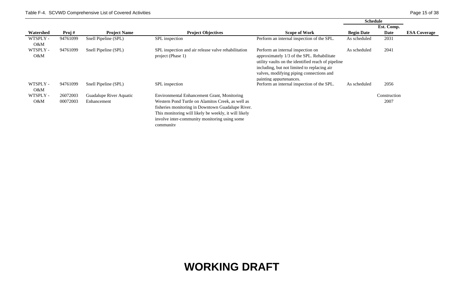|                    |          |                         |                                                                          |                                                                                                                                                                                                                                                             | <b>Schedule</b>   |              |                     |
|--------------------|----------|-------------------------|--------------------------------------------------------------------------|-------------------------------------------------------------------------------------------------------------------------------------------------------------------------------------------------------------------------------------------------------------|-------------------|--------------|---------------------|
|                    |          |                         |                                                                          |                                                                                                                                                                                                                                                             |                   | Est. Comp.   |                     |
| Watershed          | Proj#    | <b>Project Name</b>     | <b>Project Objectives</b>                                                | <b>Scope of Work</b>                                                                                                                                                                                                                                        | <b>Begin Date</b> | Date         | <b>ESA Coverage</b> |
| WTSPLY -<br>$O\&M$ | 94761099 | Snell Pipeline (SPL)    | SPL inspection                                                           | Perform an internal inspection of the SPL.                                                                                                                                                                                                                  | As scheduled      | 2031         |                     |
| WTSPLY -<br>$O\&M$ | 94761099 | Snell Pipeline (SPL)    | SPL inspection and air release valve rehabilitation<br>project (Phase 1) | Perform an internal inspection on<br>approximately 1/3 of the SPL. Rehabilitate<br>utility vaults on the identified reach of pipeline<br>including, but not limited to replacing air<br>valves, modifying piping connections and<br>painting appurtenances. | As scheduled      | 2041         |                     |
| WTSPLY -<br>O&M    | 94761099 | Snell Pipeline (SPL)    | SPL inspection                                                           | Perform an internal inspection of the SPL.                                                                                                                                                                                                                  | As scheduled      | 2056         |                     |
| WTSPLY -           | 26072003 | Guadalupe River Aquatic | Environmental Enhancement Grant, Monitoring                              |                                                                                                                                                                                                                                                             |                   | Construction |                     |
| $O\&M$             | 00072003 | Enhancement             | Western Pond Turtle on Alamitos Creek, as well as                        |                                                                                                                                                                                                                                                             |                   | 2007         |                     |
|                    |          |                         | fisheries monitoring in Downtown Guadalupe River.                        |                                                                                                                                                                                                                                                             |                   |              |                     |
|                    |          |                         | This monitoring will likely be weekly, it will likely                    |                                                                                                                                                                                                                                                             |                   |              |                     |
|                    |          |                         | involve inter-community monitoring using some                            |                                                                                                                                                                                                                                                             |                   |              |                     |
|                    |          |                         | community                                                                |                                                                                                                                                                                                                                                             |                   |              |                     |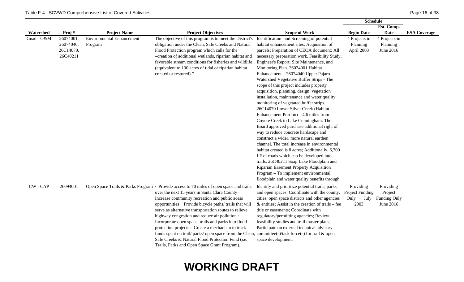|            |                                                 |                                             |                                                                                                                                                                                                                                                                                                                                                                                                                                                                                                                                                                                                                                                                                          |                                                                                                                                                                                                                                                                                                                                                                                                                                                                                                                                                                                                                                                                                                                                                                                                                                                                                                                                                                                                                                                                                                                                      | <b>Schedule</b>                                             |                                                   |                     |
|------------|-------------------------------------------------|---------------------------------------------|------------------------------------------------------------------------------------------------------------------------------------------------------------------------------------------------------------------------------------------------------------------------------------------------------------------------------------------------------------------------------------------------------------------------------------------------------------------------------------------------------------------------------------------------------------------------------------------------------------------------------------------------------------------------------------------|--------------------------------------------------------------------------------------------------------------------------------------------------------------------------------------------------------------------------------------------------------------------------------------------------------------------------------------------------------------------------------------------------------------------------------------------------------------------------------------------------------------------------------------------------------------------------------------------------------------------------------------------------------------------------------------------------------------------------------------------------------------------------------------------------------------------------------------------------------------------------------------------------------------------------------------------------------------------------------------------------------------------------------------------------------------------------------------------------------------------------------------|-------------------------------------------------------------|---------------------------------------------------|---------------------|
|            |                                                 |                                             |                                                                                                                                                                                                                                                                                                                                                                                                                                                                                                                                                                                                                                                                                          |                                                                                                                                                                                                                                                                                                                                                                                                                                                                                                                                                                                                                                                                                                                                                                                                                                                                                                                                                                                                                                                                                                                                      |                                                             | Est. Comp.                                        |                     |
| Watershed  | Proj#                                           | <b>Project Name</b>                         | <b>Project Objectives</b>                                                                                                                                                                                                                                                                                                                                                                                                                                                                                                                                                                                                                                                                | <b>Scope of Work</b>                                                                                                                                                                                                                                                                                                                                                                                                                                                                                                                                                                                                                                                                                                                                                                                                                                                                                                                                                                                                                                                                                                                 | <b>Begin Date</b>                                           | <b>Date</b>                                       | <b>ESA Coverage</b> |
| Guad - O&M | 26074001,<br>26074040,<br>26C14070,<br>26C40211 | <b>Environmental Enhancement</b><br>Program | The objective of this program is to meet the District's<br>obligation under the Clean, Safe Creeks and Natural<br>Flood Protection program which calls for the<br>-creation of additional wetlands, riparian habitat and<br>favorable stream conditions for fisheries and wildlife<br>(equivalent to 100 acres of tidal or riparian habitat<br>created or restored)."                                                                                                                                                                                                                                                                                                                    | Identification and Screening of potential<br>habitat enhancement sites; Acquisition of<br>parcels; Preparation of CEQA document; All<br>necessary preparation work. Feasibility Study,<br>Engineer's Report; Site Maintenance, and<br>Monitoring Plan. 26074001 Habitat<br>Enhancement 26074040 Upper Pajaro<br>Watershed Vegetative Buffer Strips - The<br>scope of this project includes property<br>acquisition, planning, design, vegetation<br>installation, maintenance and water quality<br>monitoring of vegetated buffer strips.<br>26C14070 Lower Silver Creek (Habitat<br>Enhancement Portion) $-4.6$ miles from<br>Coyote Creek to Lake Cunningham. The<br>Board approved purchase additional right of<br>way to reduce concrete hardscape and<br>construct a wider, more natural earthen<br>channel. The total increase in environmental<br>habitat created is 8 acres; Additionally, 6,700<br>LF of roads which can be developed into<br>trails. 26C40211 Soap Lake Floodplain and<br>Riparian Easement Property Acquisition<br>Program - To implement environmental,<br>floodplain and water quality benefits through | 4 Projects in<br>Planning<br>April 2003                     | 4 Projects in<br>Planning<br>June 2016            |                     |
| CW - CAP   | 26094001                                        |                                             | Open Space Trails & Parks Program · Provide access to 70 miles of open space and trails<br>over the next 15 years in Santa Clara County ·<br>Increase community recreation and public acess<br>opportunities · Provide bicycle paths/ trails that will<br>serve as alternative transportation routes to relieve<br>highway congestion and reduce air pollution ·<br>Incorporate open space, trails and parks into flood<br>protection projects · Create a mechanism to track<br>funds spent on trail/ parks/ open space from the Clean, committee(s)/task force(s) for trail & open<br>Safe Creeks & Natural Flood Protection Fund (i.e.<br>Trails, Parks and Open Space Grant Program). | Identify and prioritize potential trails, parks<br>and open spaces; Coordinate with the county,<br>cities, open space districts and other agencies<br>$&$ entities; Assist in the creation of trails – fee<br>title or easements; Coordinate with<br>regulatory/permitting agencies; Review<br>feasibility studies and trail master plans;<br>Participate on external technical advisory<br>space development.                                                                                                                                                                                                                                                                                                                                                                                                                                                                                                                                                                                                                                                                                                                       | Providing<br><b>Project Funding</b><br>Only<br>July<br>2003 | Providing<br>Project<br>Funding Only<br>June 2016 |                     |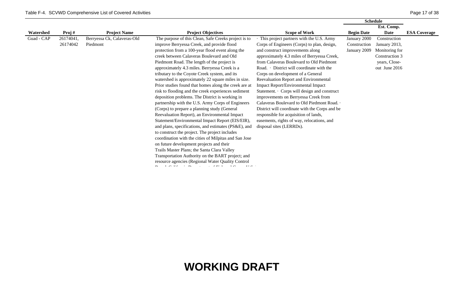|            |           |                             |                                                       |                                                | <b>Schedule</b>   |                |                     |
|------------|-----------|-----------------------------|-------------------------------------------------------|------------------------------------------------|-------------------|----------------|---------------------|
|            |           |                             |                                                       |                                                |                   | Est. Comp.     |                     |
| Watershed  | Proj#     | <b>Project Name</b>         | <b>Project Objectives</b>                             | <b>Scope of Work</b>                           | <b>Begin Date</b> | <b>Date</b>    | <b>ESA Coverage</b> |
| Guad - CAP | 26174041, | Berryessa Ck, Calaveras-Old | The purpose of this Clean, Safe Creeks project is to  | This project partners with the U.S. Army       | January 2000      | Construction   |                     |
|            | 26174042  | Piedmont                    | improve Berryessa Creek, and provide flood            | Corps of Engineers (Corps) to plan, design,    | Construction      | January 2013,  |                     |
|            |           |                             | protection from a 100-year flood event along the      | and construct improvements along               | January 2009      | Monitoring for |                     |
|            |           |                             | creek between Calaveras Boulevard and Old             | approximately 4.3 miles of Berryessa Creek,    |                   | Construction 3 |                     |
|            |           |                             | Piedmont Road. The length of the project is           | from Calaveras Boulevard to Old Piedmont       |                   | years, Close-  |                     |
|            |           |                             | approximately 4.3 miles. Berryessa Creek is a         | Road. District will coordinate with the        |                   | out June 2016  |                     |
|            |           |                             | tributary to the Coyote Creek system, and its         | Corps on development of a General              |                   |                |                     |
|            |           |                             | watershed is approximately 22 square miles in size.   | Reevaluation Report and Environmental          |                   |                |                     |
|            |           |                             | Prior studies found that homes along the creek are at | Impact Report/Environmental Impact             |                   |                |                     |
|            |           |                             | risk to flooding and the creek experiences sediment   | Statement. · Corps will design and construct   |                   |                |                     |
|            |           |                             | deposition problems. The District is working in       | improvements on Berryessa Creek from           |                   |                |                     |
|            |           |                             | partnership with the U.S. Army Corps of Engineers     | Calaveras Boulevard to Old Piedmont Road. .    |                   |                |                     |
|            |           |                             | (Corps) to prepare a planning study (General          | District will coordinate with the Corps and be |                   |                |                     |
|            |           |                             | Reevaluation Report), an Environmental Impact         | responsible for acquisition of lands,          |                   |                |                     |
|            |           |                             | Statement/Environmental Impact Report (EIS/EIR),      | easements, rights of way, relocations, and     |                   |                |                     |
|            |           |                             | and plans, specifications, and estimates (PS&E), and  | disposal sites (LERRDs).                       |                   |                |                     |
|            |           |                             | to construct the project. The project includes        |                                                |                   |                |                     |
|            |           |                             | coordination with the cities of Milpitas and San Jose |                                                |                   |                |                     |
|            |           |                             | on future development projects and their              |                                                |                   |                |                     |
|            |           |                             | Trails Master Plans; the Santa Clara Valley           |                                                |                   |                |                     |
|            |           |                             | Transportation Authority on the BART project; and     |                                                |                   |                |                     |
|            |           |                             | resource agencies (Regional Water Quality Control     |                                                |                   |                |                     |
|            |           |                             |                                                       |                                                |                   |                |                     |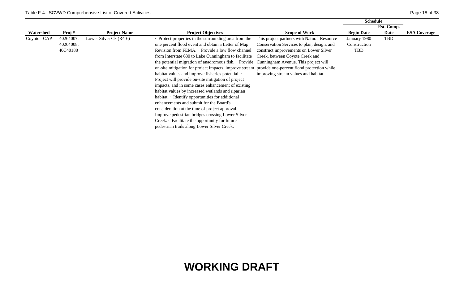| <b>ESA Coverage</b> |
|---------------------|
|                     |
|                     |
|                     |
|                     |
|                     |
|                     |
|                     |
|                     |
|                     |
|                     |
|                     |
|                     |
|                     |
|                     |
|                     |
|                     |
|                     |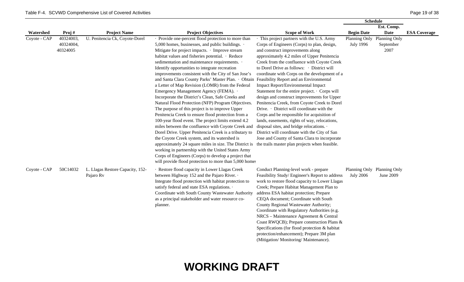|              |                                    |                                               |                                                                                                                                                                                                                                                                                                                                                                                                                                                                                                                                                                                                                                                                                                                                                                                                                                                                                                                                                                                                                                                                                                                                                                                                                                                                                                       |                                                                                                                                                                                                                                                                                                                                                                                                                                                                                                                                                                                                                                                                                                                                                                                                              | <b>Schedule</b>                                 |                                    |                     |
|--------------|------------------------------------|-----------------------------------------------|-------------------------------------------------------------------------------------------------------------------------------------------------------------------------------------------------------------------------------------------------------------------------------------------------------------------------------------------------------------------------------------------------------------------------------------------------------------------------------------------------------------------------------------------------------------------------------------------------------------------------------------------------------------------------------------------------------------------------------------------------------------------------------------------------------------------------------------------------------------------------------------------------------------------------------------------------------------------------------------------------------------------------------------------------------------------------------------------------------------------------------------------------------------------------------------------------------------------------------------------------------------------------------------------------------|--------------------------------------------------------------------------------------------------------------------------------------------------------------------------------------------------------------------------------------------------------------------------------------------------------------------------------------------------------------------------------------------------------------------------------------------------------------------------------------------------------------------------------------------------------------------------------------------------------------------------------------------------------------------------------------------------------------------------------------------------------------------------------------------------------------|-------------------------------------------------|------------------------------------|---------------------|
|              |                                    |                                               |                                                                                                                                                                                                                                                                                                                                                                                                                                                                                                                                                                                                                                                                                                                                                                                                                                                                                                                                                                                                                                                                                                                                                                                                                                                                                                       |                                                                                                                                                                                                                                                                                                                                                                                                                                                                                                                                                                                                                                                                                                                                                                                                              |                                                 | Est. Comp.                         |                     |
| Watershed    | Proj#                              | <b>Project Name</b>                           | <b>Project Objectives</b>                                                                                                                                                                                                                                                                                                                                                                                                                                                                                                                                                                                                                                                                                                                                                                                                                                                                                                                                                                                                                                                                                                                                                                                                                                                                             | <b>Scope of Work</b>                                                                                                                                                                                                                                                                                                                                                                                                                                                                                                                                                                                                                                                                                                                                                                                         | <b>Begin Date</b>                               | <b>Date</b>                        | <b>ESA Coverage</b> |
| Coyote - CAP | 40324003,<br>40324004,<br>40324005 | U. Penitencia Ck, Coyote-Dorel                | · Provide one-percent flood protection to more than<br>5,000 homes, businesses, and public buildings. $\cdot$<br>Mitigate for project impacts. · Improve stream<br>habitat values and fisheries potential. · Reduce<br>sedimentation and maintenance requirements. .<br>Identify opportunities to integrate recreation<br>improvements consistent with the City of San Jose's<br>and Santa Clara County Parks' Master Plan. • Obtain Feasibility Report and an Environmental<br>a Letter of Map Revision (LOMR) from the Federal<br>Emergency Management Agency (FEMA). .<br>Incorporate the District's Clean, Safe Creeks and<br>Natural Flood Protection (NFP) Program Objectives.<br>The purpose of this project is to improve Upper<br>Penitencia Creek to ensure flood protection from a<br>100-year flood event. The project limits extend 4.2<br>miles between the confluence with Coyote Creek and<br>Dorel Drive. Upper Penitencia Creek is a tributary to<br>the Coyote Creek system, and its watershed is<br>approximately 24 square miles in size. The District is the trails master plan projects when feasible.<br>working in partnership with the United States Army<br>Corps of Engineers (Corps) to develop a project that<br>will provide flood protection to more than 5,000 homes | · This project partners with the U.S. Army<br>Corps of Engineers (Corps) to plan, design,<br>and construct improvements along<br>approximately 4.2 miles of Upper Penitencia<br>Creek from the confluence with Coyote Creek<br>to Dorel Drive as follows: • District will<br>coordinate with Corps on the development of a<br>Impact Report/Environmental Impact<br>Statement for the entire project. · Corps will<br>design and construct improvements for Upper<br>Penitencia Creek, from Coyote Creek to Dorel<br>Drive. District will coordinate with the<br>Corps and be responsible for acquisition of<br>lands, easements, rights of way, relocations,<br>disposal sites, and bridge relocations. .<br>District will coordinate with the City of San<br>Jose and County of Santa Clara to incorporate | Planning Only<br><b>July 1996</b>               | Planning Only<br>September<br>2007 |                     |
| Coyote - CAP | 50C14032                           | L. Llagas Restore Capacity, 152-<br>Pajaro Rv | · Restore flood capacity in Lower Llagas Creek<br>between Highway 152 and the Pajaro River. .<br>Integrate flood protection with habitat protection to<br>satisfy federal and state ESA regulations. .<br>Coordinate with South County Wastewater Authority<br>as a principal stakeholder and water resource co-<br>planner.                                                                                                                                                                                                                                                                                                                                                                                                                                                                                                                                                                                                                                                                                                                                                                                                                                                                                                                                                                          | Conduct Planning-level work - prepare<br>Feasibility Study/Engineer's Report to address<br>work to restore flood capacity to Lower Llagas<br>Creek; Prepare Habitat Management Plan to<br>address ESA habitat protection; Prepare<br>CEQA document; Coordinate with South<br>County Regional Wastewater Authority;<br>Coordinate with Regulatory Authorities (e.g.<br>NRCS - Maintenance Agreement & Central<br>Coast RWQCB); Prepare construction Plans &<br>Specifications (for flood protection & habitat<br>protection/enhancement); Prepare 3M plan<br>(Mitigation/ Monitoring/ Maintenance).                                                                                                                                                                                                           | Planning Only Planning Only<br><b>July 2006</b> | June 2009                          |                     |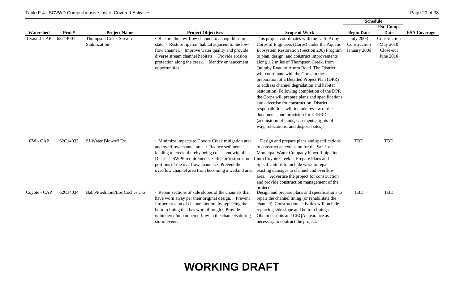|               |          |                              |                                                                                              |                                                 | <b>Schedule</b>   |              |                     |
|---------------|----------|------------------------------|----------------------------------------------------------------------------------------------|-------------------------------------------------|-------------------|--------------|---------------------|
|               |          |                              |                                                                                              |                                                 |                   | Est. Comp.   |                     |
| Watershed     | Proj#    | <b>Project Name</b>          | <b>Project Objectives</b>                                                                    | <b>Scope of Work</b>                            | <b>Begin Date</b> | <b>Date</b>  | <b>ESA Coverage</b> |
| Uvas/Ll CAP   | 62214001 | <b>Thompson Creek Stream</b> | · Restore the low-flow channel to an equilibrium                                             | This project coordinates with the U.S. Army     | <b>July 2003</b>  | Construction |                     |
|               |          | Stabilization                | state. · Restore riparian habitat adjacent to the low-                                       | Corps of Engineers (Corps) under the Aquatic    | Construction      | May 2010     |                     |
|               |          |                              | flow channel. Improve water quality and provide                                              | Ecosystem Restoration (Section 206) Program     | January 2009      | Close-out    |                     |
|               |          |                              | diverse stream channel habitats. · Provide erosion                                           | to plan, design, and construct improvements     |                   | June 2010    |                     |
|               |          |                              | protection along the creek. · Identify enhancement                                           | along 1.2 miles of Thompson Creek, from         |                   |              |                     |
|               |          |                              | opportunities.                                                                               | Quimby Road to Aborn Road. The District         |                   |              |                     |
|               |          |                              |                                                                                              | will coordinate with the Corps in the           |                   |              |                     |
|               |          |                              |                                                                                              | preparation of a Detailed Project Plan (DPR)    |                   |              |                     |
|               |          |                              |                                                                                              | to address channel degradation and habitat      |                   |              |                     |
|               |          |                              |                                                                                              | restoration. Following completion of the DPR    |                   |              |                     |
|               |          |                              |                                                                                              | the Corps will prepare plans and specifications |                   |              |                     |
|               |          |                              |                                                                                              | and advertise for construction. District        |                   |              |                     |
|               |          |                              |                                                                                              | responsibilities will include review of the     |                   |              |                     |
|               |          |                              |                                                                                              | documents, and provision for LERRDs             |                   |              |                     |
|               |          |                              |                                                                                              | (acquisition of lands, easements, rights-of-    |                   |              |                     |
|               |          |                              |                                                                                              | way, relocations, and disposal sites).          |                   |              |                     |
|               |          |                              |                                                                                              |                                                 |                   |              |                     |
| <b>CW-CAP</b> | 62C14033 | SJ Water Blowoff Ext.        | · Minimize impacts to Coyote Creek mitigation area                                           | Design and prepare plans and specifications     | <b>TBD</b>        | TBD          |                     |
|               |          |                              | and overflow channel area. · Reduce sediment                                                 | to construct an extension for the San Jose      |                   |              |                     |
|               |          |                              | loading to creek, thereby being consistent with the                                          | Municipal Water Company blowoff pipeline        |                   |              |                     |
|               |          |                              | District's SWPP requirements. · Repair/restore eroded into Coyote Creek. · Prepare Plans and |                                                 |                   |              |                     |
|               |          |                              | portions of the overflow channel. • Prevent the                                              | Specificaitons to include work to repair        |                   |              |                     |
|               |          |                              | overflow channel area from becoming a wetland area.                                          | existing damages to channel and overflow        |                   |              |                     |
|               |          |                              |                                                                                              | area. Advertise the project for construction    |                   |              |                     |
|               |          |                              |                                                                                              | and provide construction management of the      |                   |              |                     |
|               |          |                              |                                                                                              | project.                                        |                   |              |                     |
| Coyote - CAP  | 62C14034 | Babb/Piedmont/Los Coches Cks | · Repair sections of side slopes of the channels that                                        | Design and prepare plans and specifications to  | <b>TBD</b>        | TBD          |                     |
|               |          |                              | have worn away per their original design. · Prevent                                          | repair the channel lining (or rehabilitate the  |                   |              |                     |
|               |          |                              | further erosion of channel bottom by replacing the                                           | channel). Construction activities will include  |                   |              |                     |
|               |          |                              | bottom lining that has worn through. Provide                                                 | replacing side slope and bottom linings.        |                   |              |                     |
|               |          |                              | unhindered/unhampered flow in the channels during                                            | Obtain permits and CEQA clearance as            |                   |              |                     |
|               |          |                              | storm events.                                                                                | necessary to contruct the project.              |                   |              |                     |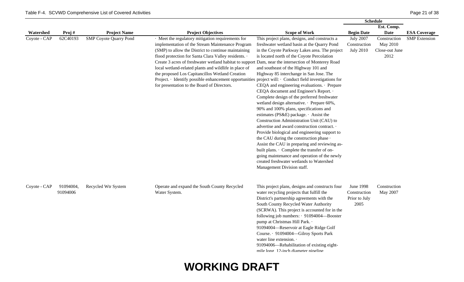|              |                       |                                                      |                                                                                                                                                                                                                                                                                                                                                                                                                                                                                                                                                                                                                            |                                                                                                                                                                                                                                                                                                                                                                                                                                                                                                                                                                                                                                                                                                                                                                                                                                  | <b>Schedule</b>                                                           |                                                            |                                             |
|--------------|-----------------------|------------------------------------------------------|----------------------------------------------------------------------------------------------------------------------------------------------------------------------------------------------------------------------------------------------------------------------------------------------------------------------------------------------------------------------------------------------------------------------------------------------------------------------------------------------------------------------------------------------------------------------------------------------------------------------------|----------------------------------------------------------------------------------------------------------------------------------------------------------------------------------------------------------------------------------------------------------------------------------------------------------------------------------------------------------------------------------------------------------------------------------------------------------------------------------------------------------------------------------------------------------------------------------------------------------------------------------------------------------------------------------------------------------------------------------------------------------------------------------------------------------------------------------|---------------------------------------------------------------------------|------------------------------------------------------------|---------------------------------------------|
|              |                       |                                                      |                                                                                                                                                                                                                                                                                                                                                                                                                                                                                                                                                                                                                            |                                                                                                                                                                                                                                                                                                                                                                                                                                                                                                                                                                                                                                                                                                                                                                                                                                  |                                                                           | Est. Comp.                                                 |                                             |
| Watershed    |                       |                                                      |                                                                                                                                                                                                                                                                                                                                                                                                                                                                                                                                                                                                                            |                                                                                                                                                                                                                                                                                                                                                                                                                                                                                                                                                                                                                                                                                                                                                                                                                                  |                                                                           |                                                            |                                             |
| Coyote - CAP | Proj#<br>62C40193     | <b>Project Name</b><br><b>SMP Coyote Quarry Pond</b> | <b>Project Objectives</b><br>· Meet the regulatory mitigation requirements for<br>implementation of the Stream Maintenance Program<br>(SMP) to allow the District to continue maintaining<br>flood protection for Santa Clara Valley residents. .<br>Create 3 acres of freshwater wetland habitat to support Dam, near the intersection of Monterey Road<br>local wetland-related plants and wildlife in place of<br>the proposed Los Capitancillos Wetland Creation<br>Project. Identify possible enhancement opportunities project will: Conduct field investigations for<br>for presentation to the Board of Directors. | <b>Scope of Work</b><br>This project plans, designs, and constructs a<br>freshwater wetland basin at the Quarry Pond<br>in the Coyote Parkway Lakes area. The project<br>is located north of the Coyote Percolation<br>and southeast of the Highway 101 and<br>Highway 85 interchange in San Jose. The<br>CEQA and engineering evaluations. · Prepare<br>CEQA document and Engineer's Report. .<br>Complete design of the preferred freshwater<br>wetland design alternative. · Prepare 60%,<br>90% and 100% plans, specifications and<br>estimates (PS&E) package. $\cdot$ Assist the<br>Construction Administration Unit (CAU) to<br>advertise and award construction contract. .<br>Provide biological and engineering support to<br>the CAU during the construction phase .<br>Assist the CAU in preparing and reviewing as- | <b>Begin Date</b><br><b>July 2007</b><br>Construction<br><b>July 2010</b> | Date<br>Construction<br>May 2010<br>Close-out June<br>2012 | <b>ESA Coverage</b><br><b>SMP</b> Extension |
| Coyote - CAP | 91094004,<br>91094006 | Recycled Wtr System                                  | Operate and expand the South County Recycled<br>Water System.                                                                                                                                                                                                                                                                                                                                                                                                                                                                                                                                                              | built plans. Complete the transfer of on-<br>going maintenance and operation of the newly<br>created freshwater wetlands to Watershed<br>Management Division staff.<br>This project plans, designs and constructs four<br>water recycling projects that fulfill the<br>District's partnership agreements with the<br>South County Recycled Water Authority<br>(SCRWA). This project is accounted for in the<br>following job numbers: 01094004-Booster<br>pump at Christmas Hill Park. .<br>91094004-Reservoir at Eagle Ridge Golf<br>Course. 91094004-Gilroy Sports Park<br>water line extension. .<br>91094006—Rehabilitation of existing eight-<br>mile long 12-inch diameter nineline                                                                                                                                        | June 1998<br>Construction<br>Prior to July<br>2005                        | Construction<br>May 2007                                   |                                             |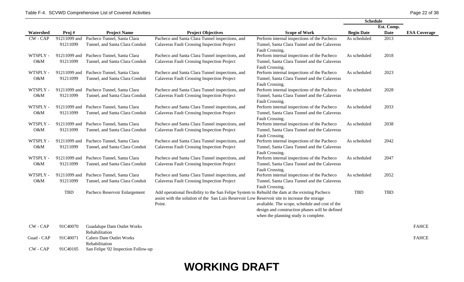|            |              |                                          |                                                                                                 |                                                                | <b>Schedule</b>   |             |                     |
|------------|--------------|------------------------------------------|-------------------------------------------------------------------------------------------------|----------------------------------------------------------------|-------------------|-------------|---------------------|
|            |              |                                          |                                                                                                 |                                                                |                   | Est. Comp.  |                     |
| Watershed  | Proj#        | <b>Project Name</b>                      | <b>Project Objectives</b>                                                                       | <b>Scope of Work</b>                                           | <b>Begin Date</b> | <b>Date</b> | <b>ESA Coverage</b> |
| CW-CAP     | 91211099 and | Pacheco Tunnel, Santa Clara              | Pacheco and Santa Clara Tunnel inspections, and                                                 | Perform internal inspections of the Pacheco                    | As scheduled      | 2013        |                     |
|            | 91211099     | Tunnel, and Santa Clara Conduit          | <b>Calaveras Fault Crossing Inspection Project</b>                                              | Tunnel, Santa Clara Tunnel and the Calaveras                   |                   |             |                     |
|            |              |                                          |                                                                                                 | Fault Crossing.                                                |                   |             |                     |
| WTSPLY -   | 91211099 and | Pacheco Tunnel, Santa Clara              | Pacheco and Santa Clara Tunnel inspections, and                                                 | Perform internal inspections of the Pacheco                    | As scheduled      | 2018        |                     |
| O&M        | 91211099     | Tunnel, and Santa Clara Conduit          | <b>Calaveras Fault Crossing Inspection Project</b>                                              | Tunnel, Santa Clara Tunnel and the Calaveras                   |                   |             |                     |
|            |              |                                          |                                                                                                 | Fault Crossing.                                                |                   |             |                     |
| WTSPLY -   | 91211099 and | Pacheco Tunnel, Santa Clara              | Pacheco and Santa Clara Tunnel inspections, and                                                 | Perform internal inspections of the Pacheco                    | As scheduled      | 2023        |                     |
| O&M        | 91211099     | Tunnel, and Santa Clara Conduit          | <b>Calaveras Fault Crossing Inspection Project</b>                                              | Tunnel, Santa Clara Tunnel and the Calaveras                   |                   |             |                     |
| WTSPLY -   | 91211099 and | Pacheco Tunnel, Santa Clara              | Pacheco and Santa Clara Tunnel inspections, and                                                 | Fault Crossing.<br>Perform internal inspections of the Pacheco | As scheduled      | 2028        |                     |
| O&M        | 91211099     | Tunnel, and Santa Clara Conduit          | <b>Calaveras Fault Crossing Inspection Project</b>                                              | Tunnel, Santa Clara Tunnel and the Calaveras                   |                   |             |                     |
|            |              |                                          |                                                                                                 | Fault Crossing.                                                |                   |             |                     |
| WTSPLY -   | 91211099 and | Pacheco Tunnel, Santa Clara              | Pacheco and Santa Clara Tunnel inspections, and                                                 | Perform internal inspections of the Pacheco                    | As scheduled      | 2033        |                     |
| O&M        | 91211099     | Tunnel, and Santa Clara Conduit          | <b>Calaveras Fault Crossing Inspection Project</b>                                              | Tunnel, Santa Clara Tunnel and the Calaveras                   |                   |             |                     |
|            |              |                                          |                                                                                                 | Fault Crossing.                                                |                   |             |                     |
| WTSPLY -   | 91211099 and | Pacheco Tunnel, Santa Clara              | Pacheco and Santa Clara Tunnel inspections, and                                                 | Perform internal inspections of the Pacheco                    | As scheduled      | 2038        |                     |
| O&M        | 91211099     | Tunnel, and Santa Clara Conduit          | <b>Calaveras Fault Crossing Inspection Project</b>                                              | Tunnel, Santa Clara Tunnel and the Calaveras                   |                   |             |                     |
|            |              |                                          |                                                                                                 | Fault Crossing.                                                |                   |             |                     |
| WTSPLY -   |              | 91211099 and Pacheco Tunnel, Santa Clara | Pacheco and Santa Clara Tunnel inspections, and                                                 | Perform internal inspections of the Pacheco                    | As scheduled      | 2042        |                     |
| O&M        | 91211099     | Tunnel, and Santa Clara Conduit          | <b>Calaveras Fault Crossing Inspection Project</b>                                              | Tunnel, Santa Clara Tunnel and the Calaveras                   |                   |             |                     |
|            |              |                                          |                                                                                                 | Fault Crossing.                                                |                   |             |                     |
| WTSPLY -   | 91211099 and | Pacheco Tunnel, Santa Clara              | Pacheco and Santa Clara Tunnel inspections, and                                                 | Perform internal inspections of the Pacheco                    | As scheduled      | 2047        |                     |
| O&M        | 91211099     | Tunnel, and Santa Clara Conduit          | <b>Calaveras Fault Crossing Inspection Project</b>                                              | Tunnel, Santa Clara Tunnel and the Calaveras                   |                   |             |                     |
|            |              |                                          |                                                                                                 | Fault Crossing.                                                |                   |             |                     |
| WTSPLY -   | 91211099 and | Pacheco Tunnel, Santa Clara              | Pacheco and Santa Clara Tunnel inspections, and                                                 | Perform internal inspections of the Pacheco                    | As scheduled      | 2052        |                     |
| O&M        | 91211099     | Tunnel, and Santa Clara Conduit          | <b>Calaveras Fault Crossing Inspection Project</b>                                              | Tunnel, Santa Clara Tunnel and the Calaveras                   |                   |             |                     |
|            | TBD          |                                          | Add operational flexibility to the San Felipe System to Rebuild the dam at the existing Pacheco | Fault Crossing.                                                | <b>TBD</b>        | <b>TBD</b>  |                     |
|            |              | Pacheco Reservoir Enlargement            | assist with the solution of the San Luis Reservoir Low Reservoir site to increase the storage   |                                                                |                   |             |                     |
|            |              |                                          | Point.                                                                                          | avaliable. The scope, schedule and cost of the                 |                   |             |                     |
|            |              |                                          |                                                                                                 | design and construction phases will be defined                 |                   |             |                     |
|            |              |                                          |                                                                                                 | when the planning study is complete.                           |                   |             |                     |
|            |              |                                          |                                                                                                 |                                                                |                   |             |                     |
| CW - CAP   | 91C40070     | <b>Guadalupe Dam Outlet Works</b>        |                                                                                                 |                                                                |                   |             | <b>FAHCE</b>        |
|            |              | Rehabilitation                           |                                                                                                 |                                                                |                   |             |                     |
| Guad - CAP | 91C40071     | Calero Dam Outlet Works                  |                                                                                                 |                                                                |                   |             | <b>FAHCE</b>        |
|            |              | Rehabilitation                           |                                                                                                 |                                                                |                   |             |                     |
| CW - CAP   | 91C40105     | San Felipe '02 Inspection Follow-up      |                                                                                                 |                                                                |                   |             |                     |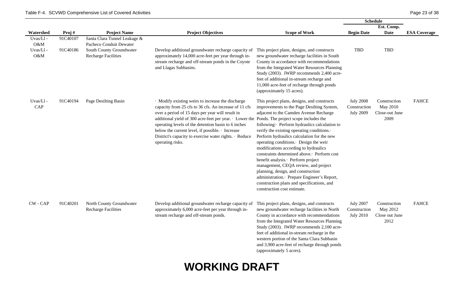|                                    |                      |                                                                                                                   |                                                                                                                                                                                                                                                                                                                                                                                                                                                        | <b>Schedule</b>                                                                                                                                                                                                                                                                                                                                                                                                                                                                                                                                                                                                                                              |                                                      |                                                    |                     |  |
|------------------------------------|----------------------|-------------------------------------------------------------------------------------------------------------------|--------------------------------------------------------------------------------------------------------------------------------------------------------------------------------------------------------------------------------------------------------------------------------------------------------------------------------------------------------------------------------------------------------------------------------------------------------|--------------------------------------------------------------------------------------------------------------------------------------------------------------------------------------------------------------------------------------------------------------------------------------------------------------------------------------------------------------------------------------------------------------------------------------------------------------------------------------------------------------------------------------------------------------------------------------------------------------------------------------------------------------|------------------------------------------------------|----------------------------------------------------|---------------------|--|
|                                    |                      |                                                                                                                   |                                                                                                                                                                                                                                                                                                                                                                                                                                                        |                                                                                                                                                                                                                                                                                                                                                                                                                                                                                                                                                                                                                                                              |                                                      | Est. Comp.                                         |                     |  |
| Watershed                          | Proj#                | <b>Project Name</b>                                                                                               | <b>Project Objectives</b>                                                                                                                                                                                                                                                                                                                                                                                                                              | <b>Scope of Work</b>                                                                                                                                                                                                                                                                                                                                                                                                                                                                                                                                                                                                                                         | <b>Begin Date</b>                                    | <b>Date</b>                                        | <b>ESA Coverage</b> |  |
| Uvas/Ll-<br>O&M<br>Uvas/Ll-<br>O&M | 91C40107<br>91C40186 | Santa Clara Tunnel Leakage &<br>Pacheco Conduit Dewater<br>South County Groundwater<br><b>Recharge Facilities</b> | Develop additional groundwater recharge capacity of<br>approximately 14,000 acre-feet per year through in-<br>stream recharge and off-stream ponds in the Coyote<br>and Llagas Subbasins.                                                                                                                                                                                                                                                              | This project plans, designs, and constructs<br>new groundwater recharge facilities in South<br>County in accordance with recommendations<br>from the Integrated Water Resources Planning<br>Study (2003). IWRP recommends 2,400 acre-<br>feet of additional in-stream recharge and<br>11,000 acre-feet of recharge through ponds<br>(approximately 15 acres).                                                                                                                                                                                                                                                                                                | <b>TBD</b>                                           | <b>TBD</b>                                         |                     |  |
| Uvas/Ll-<br>CAP                    | 91C40194             | Page Desilting Basin                                                                                              | · Modify existing weirs to increase the discharge<br>capacity from 25 cfs to 36 cfs. An increase of 11 cfs<br>over a period of 15 days per year will result in<br>additional yield of 300 acre-feet per year. · Lower the Ponds. The project scope includes the<br>operating levels of the detention basin to 6 inches<br>below the current level, if possible. Increase<br>District's capacity to exercise water rights. · Reduce<br>operating risks. | This project plans, designs, and constructs<br>improvements to the Page Desilting System,<br>adjacent to the Camden Avenue Recharge<br>following: Perform hydraulics calculation to<br>verify the existing operating conditions.<br>Perform hydraulics calculation for the new<br>operating conditions. Design the weir<br>modifications according to hydraulics<br>constraints determined above. Perform cost<br>benefit analysis. Perform project<br>management, CEQA review, and project<br>planning, design, and construction<br>administration. Prepare Engineer's Report,<br>construction plans and specifications, and<br>construction cost estimate. | <b>July 2008</b><br>Construction<br><b>July 2009</b> | Construction<br>May 2010<br>Close-out June<br>2009 | <b>FAHCE</b>        |  |
| CW - CAP                           | 91C40201             | North County Groundwater<br><b>Recharge Facilities</b>                                                            | Develop additional groundwater recharge capacity of<br>approximately 6,000 acre-feet per year through in-<br>stream recharge and off-stream ponds.                                                                                                                                                                                                                                                                                                     | This project plans, designs, and constructs<br>new groundwater recharge facilities in North<br>County in accordance with recommendations<br>from the Integrated Water Resources Planning<br>Study (2003). IWRP recommends 2,100 acre-<br>feet of additional in-stream recharge in the<br>western portion of the Santa Clara Subbasin<br>and 3,900 acre-feet of recharge through ponds<br>(approximately 5 acres).                                                                                                                                                                                                                                            | <b>July 2007</b><br>Construction<br><b>July 2010</b> | Construction<br>May 2012<br>Close out June<br>2012 | <b>FAHCE</b>        |  |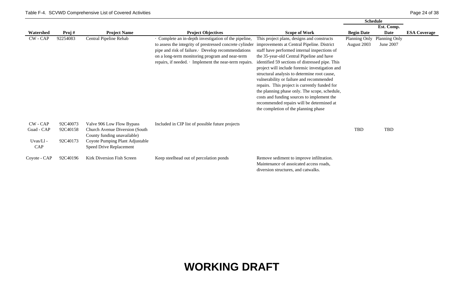|              |          |                                 |                                                              |                                                 |                   | <b>Schedule</b> |                     |
|--------------|----------|---------------------------------|--------------------------------------------------------------|-------------------------------------------------|-------------------|-----------------|---------------------|
|              |          |                                 |                                                              |                                                 |                   | Est. Comp.      |                     |
| Watershed    | Proj#    | <b>Project Name</b>             | <b>Project Objectives</b>                                    | <b>Scope of Work</b>                            | <b>Begin Date</b> | Date            | <b>ESA Coverage</b> |
| $CW - CAP$   | 92254083 | Central Pipeline Rehab          | · Complete an in-depth investigation of the pipeline,        | This project plans, designs and constructs      | Planning Only     | Planning Only   |                     |
|              |          |                                 | to assess the integrity of prestressed concrete cylinder     | improvements at Central Pipeline. District      | August 2003       | June 2007       |                     |
|              |          |                                 | pipe and risk of failure. Develop recommendations            | staff have performed internal inspections of    |                   |                 |                     |
|              |          |                                 | on a long-term monitoring program and near-term              | the 35-year-old Central Pipeline and have       |                   |                 |                     |
|              |          |                                 | repairs, if needed. $\cdot$ Implement the near-term repairs. | identified 59 sections of distressed pipe. This |                   |                 |                     |
|              |          |                                 |                                                              | project will include forensic investigation and |                   |                 |                     |
|              |          |                                 |                                                              | structural analysis to determine root cause,    |                   |                 |                     |
|              |          |                                 |                                                              | vulnerability or failure and recommended        |                   |                 |                     |
|              |          |                                 |                                                              | repairs. This project is currently funded for   |                   |                 |                     |
|              |          |                                 |                                                              | the planning phase only. The scope, schedule,   |                   |                 |                     |
|              |          |                                 |                                                              | costs and funding sources to implement the      |                   |                 |                     |
|              |          |                                 |                                                              | recommended repairs will be determined at       |                   |                 |                     |
|              |          |                                 |                                                              | the completion of the planning phase            |                   |                 |                     |
|              |          |                                 |                                                              |                                                 |                   |                 |                     |
| $CW - CAP$   | 92C40073 | Valve 906 Low Flow Bypass       | Included in CIP list of possible future projects             |                                                 |                   |                 |                     |
| Guad - CAP   | 92C40158 | Church Avenue Diversion (South) |                                                              |                                                 | TBD               | TBD             |                     |
|              |          | County funding unavailable)     |                                                              |                                                 |                   |                 |                     |
| Uvas/Ll-     | 92C40173 | Coyote Pumping Plant Adjustable |                                                              |                                                 |                   |                 |                     |
| CAP          |          | Speed Drive Replacement         |                                                              |                                                 |                   |                 |                     |
| Coyote - CAP | 92C40196 | Kirk Diversion Fish Screen      | Keep steelhead out of percolation ponds                      | Remove sediment to improve infiltration.        |                   |                 |                     |
|              |          |                                 |                                                              | Maintenance of assoicated access roads,         |                   |                 |                     |
|              |          |                                 |                                                              | diversion structures, and catwalks.             |                   |                 |                     |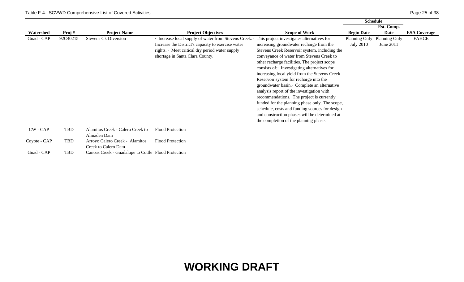|              |          |                                                       |                                                       |                                                | <b>Schedule</b>   |               |                     |
|--------------|----------|-------------------------------------------------------|-------------------------------------------------------|------------------------------------------------|-------------------|---------------|---------------------|
|              |          |                                                       |                                                       |                                                |                   | Est. Comp.    |                     |
| Watershed    | Proj#    | <b>Project Name</b>                                   | <b>Project Objectives</b>                             | <b>Scope of Work</b>                           | <b>Begin Date</b> | Date          | <b>ESA Coverage</b> |
| Guad - CAP   | 92C40215 | <b>Stevens Ck Diversion</b>                           | · Increase local supply of water from Stevens Creek.  | This project investigates alternatives for     | Planning Only     | Planning Only | <b>FAHCE</b>        |
|              |          |                                                       | Increase the District's capacity to exercise water    | increasing groundwater recharge from the       | <b>July 2010</b>  | June 2011     |                     |
|              |          |                                                       | rights. $\cdot$ Meet critical dry period water supply | Stevens Creek Reservoir system, including the  |                   |               |                     |
|              |          |                                                       | shortage in Santa Clara County.                       | conveyance of water from Stevens Creek to      |                   |               |                     |
|              |          |                                                       |                                                       | other recharge facilities. The project scope   |                   |               |                     |
|              |          |                                                       |                                                       | consists of: Investigating alternatives for    |                   |               |                     |
|              |          |                                                       |                                                       | increasing local yield from the Stevens Creek  |                   |               |                     |
|              |          |                                                       |                                                       | Reservoir system for recharge into the         |                   |               |                     |
|              |          |                                                       |                                                       | groundwater basin. Complete an alternative     |                   |               |                     |
|              |          |                                                       |                                                       | analysis report of the investigation with      |                   |               |                     |
|              |          |                                                       |                                                       | recommendations. The project is currently      |                   |               |                     |
|              |          |                                                       |                                                       | funded for the planning phase only. The scope, |                   |               |                     |
|              |          |                                                       |                                                       | schedule, costs and funding sources for design |                   |               |                     |
|              |          |                                                       |                                                       | and construction phases will be determined at  |                   |               |                     |
|              |          |                                                       |                                                       | the completion of the planning phase.          |                   |               |                     |
| CW - CAP     | TBD      | Alamitos Creek - Calero Creek to                      | Flood Protection                                      |                                                |                   |               |                     |
|              |          | Almaden Dam                                           |                                                       |                                                |                   |               |                     |
| Coyote - CAP | TBD      | Arroyo Calero Creek - Alamitos<br>Creek to Calero Dam | Flood Protection                                      |                                                |                   |               |                     |
| Guad - CAP   | TBD      | Canoas Creek - Guadalupe to Cottle Flood Protection   |                                                       |                                                |                   |               |                     |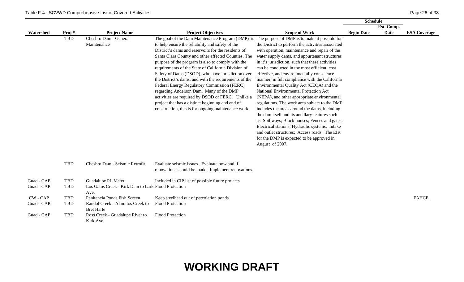|            |            |                                                     |                                                                                                |                                                   | Schedule          |             |                     |  |
|------------|------------|-----------------------------------------------------|------------------------------------------------------------------------------------------------|---------------------------------------------------|-------------------|-------------|---------------------|--|
|            |            |                                                     |                                                                                                |                                                   |                   | Est. Comp.  |                     |  |
| Watershed  | Proj#      | <b>Project Name</b>                                 | <b>Project Objectives</b>                                                                      | <b>Scope of Work</b>                              | <b>Begin Date</b> | <b>Date</b> | <b>ESA Coverage</b> |  |
|            | TBD        | Chesbro Dam - General                               | The goal of the Dam Maintenance Program (DMP) is The purpose of DMP is to make it possible for |                                                   |                   |             |                     |  |
|            |            | Maintenance                                         | to help ensure the reliability and safety of the                                               | the District to perform the activities associated |                   |             |                     |  |
|            |            |                                                     | District's dams and reservoirs for the residents of                                            | with operation, maintenance and repair of the     |                   |             |                     |  |
|            |            |                                                     | Santa Clara County and other affected Counties. The                                            | water supply dams, and appurtenant structures     |                   |             |                     |  |
|            |            |                                                     | purpose of the program is also to comply with the                                              | in it's jurisdiction, such that these activities  |                   |             |                     |  |
|            |            |                                                     | requirements of the State of California Division of                                            | can be conducted in the most efficient, cost      |                   |             |                     |  |
|            |            |                                                     | Safety of Dams (DSOD), who have jurisdiction over                                              | effective, and environmentally conscience         |                   |             |                     |  |
|            |            |                                                     | the District's dams, and with the requirements of the                                          | manner, in full compliance with the California    |                   |             |                     |  |
|            |            |                                                     | Federal Energy Regulatory Commission (FERC)                                                    | Environmental Quality Act (CEQA) and the          |                   |             |                     |  |
|            |            |                                                     | regarding Anderson Dam. Many of the DMP                                                        | National Environmental Protection Act             |                   |             |                     |  |
|            |            |                                                     | activities are required by DSOD or FERC. Unlike a                                              | (NEPA), and other appropriate environmental       |                   |             |                     |  |
|            |            |                                                     | project that has a distinct beginning and end of                                               | regulations. The work area subject to the DMP     |                   |             |                     |  |
|            |            |                                                     | construction, this is for ongoing maintenance work.                                            | includes the areas around the dams, including     |                   |             |                     |  |
|            |            |                                                     |                                                                                                | the dam itself and its ancillary features such    |                   |             |                     |  |
|            |            |                                                     |                                                                                                | as: Spillways; Block houses; Fences and gates;    |                   |             |                     |  |
|            |            |                                                     |                                                                                                | Electrical stations; Hydraulic systems; Intake    |                   |             |                     |  |
|            |            |                                                     |                                                                                                | and outlet structures; Access roads. The EIR      |                   |             |                     |  |
|            |            |                                                     |                                                                                                | for the DMP is expected to be approved in         |                   |             |                     |  |
|            |            |                                                     |                                                                                                | August of 2007.                                   |                   |             |                     |  |
|            |            |                                                     |                                                                                                |                                                   |                   |             |                     |  |
|            | <b>TBD</b> | Chesbro Dam - Seismic Retrofit                      | Evaluate seismic issues. Evaluate how and if                                                   |                                                   |                   |             |                     |  |
|            |            |                                                     | renovations should be made. Implement renovations.                                             |                                                   |                   |             |                     |  |
| Guad - CAP | TBD        | Guadalupe PL Meter                                  | Included in CIP list of possible future projects                                               |                                                   |                   |             |                     |  |
| Guad - CAP | <b>TBD</b> | Los Gatos Creek - Kirk Dam to Lark Flood Protection |                                                                                                |                                                   |                   |             |                     |  |
|            |            | Ave.                                                |                                                                                                |                                                   |                   |             |                     |  |
| CW - CAP   | TBD        | Penitencia Ponds Fish Screen                        | Keep steelhead out of percolation ponds                                                        |                                                   |                   |             | <b>FAHCE</b>        |  |
| Guad - CAP | TBD        | Randol Creek - Alamitos Creek to                    | <b>Flood Protection</b>                                                                        |                                                   |                   |             |                     |  |
|            |            | <b>Bret Harte</b>                                   |                                                                                                |                                                   |                   |             |                     |  |
| Guad - CAP | <b>TBD</b> | Ross Creek - Guadalupe River to                     | <b>Flood Protection</b>                                                                        |                                                   |                   |             |                     |  |
|            |            | Kirk Ave                                            |                                                                                                |                                                   |                   |             |                     |  |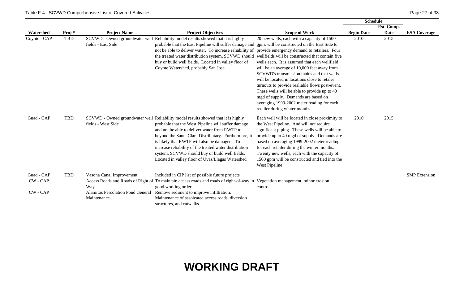|                        |       |                                                         |                                                                                                                                                                                                                                                                                                                                                                                                                                                                                                          |                                                                                                                                                                                                                                                                                                                                                                                                                                                                    | <b>Schedule</b>   |             |                      |
|------------------------|-------|---------------------------------------------------------|----------------------------------------------------------------------------------------------------------------------------------------------------------------------------------------------------------------------------------------------------------------------------------------------------------------------------------------------------------------------------------------------------------------------------------------------------------------------------------------------------------|--------------------------------------------------------------------------------------------------------------------------------------------------------------------------------------------------------------------------------------------------------------------------------------------------------------------------------------------------------------------------------------------------------------------------------------------------------------------|-------------------|-------------|----------------------|
|                        |       |                                                         |                                                                                                                                                                                                                                                                                                                                                                                                                                                                                                          |                                                                                                                                                                                                                                                                                                                                                                                                                                                                    |                   | Est. Comp.  |                      |
| Watershed              | Proj# | <b>Project Name</b>                                     | <b>Project Objectives</b>                                                                                                                                                                                                                                                                                                                                                                                                                                                                                | <b>Scope of Work</b>                                                                                                                                                                                                                                                                                                                                                                                                                                               | <b>Begin Date</b> | <b>Date</b> | <b>ESA Coverage</b>  |
| Coyote - CAP           | TBD   | fields - East Side                                      | SCVWD - Owned groundwater well Reliability model results showed that it is highly<br>probable that the East Pipeline will suffer damage and gpm, will be constructed on the East Side to<br>not be able to deliver water. To increase reliability of provide emergency demand to retailers. Four<br>the treated water distribution system, SCVWD should wellfields will be constructed that contain five<br>buy or build well fields. Located in valley floor of<br>Coyote Watershed, probably San Jose. | 20 new wells, each with a capacity of 1500<br>wells each. It is assumed that each wellfield<br>will be an average of 10,000 feet away from<br>SCVWD's transmission mains and that wells<br>will be located in locations close to retaler<br>turnouts to provide realiable flows post-event.<br>These wells will be able to provide up to 40<br>mgd of supply. Demands are based on<br>averaging 1999-2002 meter reading for each<br>retailer during winter months. | 2010              | 2015        |                      |
| Guad - CAP             | TBD   | fields - West Side                                      | SCVWD - Owned groundwater well Reliability model results showed that it is highly<br>probable that the West Pipeline will suffer damage<br>and not be able to deliver water from RWTP to<br>beyond the Santa Clara Distributary. Furthermore, it<br>is likely that RWTP will also be damaged. To<br>increase reliability of the treated water distribution<br>system, SCVWD should buy or build well fields.<br>Located in valley floor of Uvas/Llagas Watershed                                         | Each well will be located in close proximity to<br>the West Pipeline. And will not require<br>significant piping. These wells will be able to<br>provide up to 40 mgd of supply. Demands are<br>based on averaging 1999-2002 meter readings<br>for each retailer during the winter months.<br>Twenty new wells, each with the capacity of<br>1500 gpm will be constructed and tied into the<br>West Pipeline                                                       | 2010              | 2015        |                      |
| Guad - CAP<br>CW - CAP | TBD   | Vasona Canal Improvement<br>Way                         | Included in CIP list of possible future projects<br>Access Roads and Roads of Right of To maintain access roads and roads of right-of-way in Vegetation management, minor erosion<br>good working order                                                                                                                                                                                                                                                                                                  | control                                                                                                                                                                                                                                                                                                                                                                                                                                                            |                   |             | <b>SMP</b> Extension |
| CW - CAP               |       | <b>Alamitos Percolation Pond General</b><br>Maintenance | Remove sediment to improve infiltration.<br>Maintenance of assoicated access roads, diversion<br>structures, and catwalks.                                                                                                                                                                                                                                                                                                                                                                               |                                                                                                                                                                                                                                                                                                                                                                                                                                                                    |                   |             |                      |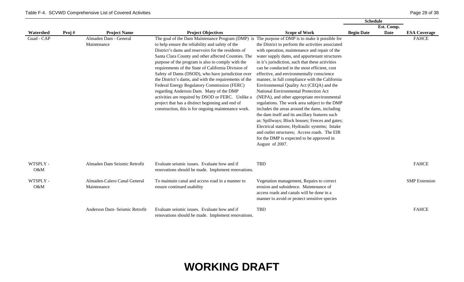|                 |       |                                             |                                                                                                                                                                                                                                                                                                                                                                                                                                                                                                                                                                                                                                                                                                                                                      |                                                                                                                                                                                                                                                                                                                                                                                                                                                                                                                                                                                                                                                                                                                                                                                                                                                                    | <b>Schedule</b>   |             |                      |
|-----------------|-------|---------------------------------------------|------------------------------------------------------------------------------------------------------------------------------------------------------------------------------------------------------------------------------------------------------------------------------------------------------------------------------------------------------------------------------------------------------------------------------------------------------------------------------------------------------------------------------------------------------------------------------------------------------------------------------------------------------------------------------------------------------------------------------------------------------|--------------------------------------------------------------------------------------------------------------------------------------------------------------------------------------------------------------------------------------------------------------------------------------------------------------------------------------------------------------------------------------------------------------------------------------------------------------------------------------------------------------------------------------------------------------------------------------------------------------------------------------------------------------------------------------------------------------------------------------------------------------------------------------------------------------------------------------------------------------------|-------------------|-------------|----------------------|
|                 |       |                                             |                                                                                                                                                                                                                                                                                                                                                                                                                                                                                                                                                                                                                                                                                                                                                      |                                                                                                                                                                                                                                                                                                                                                                                                                                                                                                                                                                                                                                                                                                                                                                                                                                                                    |                   | Est. Comp.  |                      |
| Watershed       | Proj# | <b>Project Name</b>                         | <b>Project Objectives</b>                                                                                                                                                                                                                                                                                                                                                                                                                                                                                                                                                                                                                                                                                                                            | <b>Scope of Work</b>                                                                                                                                                                                                                                                                                                                                                                                                                                                                                                                                                                                                                                                                                                                                                                                                                                               | <b>Begin Date</b> | <b>Date</b> | <b>ESA Coverage</b>  |
| Guad - CAP      |       | Almaden Dam - General<br>Maintenance        | The goal of the Dam Maintenance Program (DMP) is The purpose of DMP is to make it possible for<br>to help ensure the reliability and safety of the<br>District's dams and reservoirs for the residents of<br>Santa Clara County and other affected Counties. The<br>purpose of the program is also to comply with the<br>requirements of the State of California Division of<br>Safety of Dams (DSOD), who have jurisdiction over<br>the District's dams, and with the requirements of the<br>Federal Energy Regulatory Commission (FERC)<br>regarding Anderson Dam. Many of the DMP<br>activities are required by DSOD or FERC. Unlike a<br>project that has a distinct beginning and end of<br>construction, this is for ongoing maintenance work. | the District to perform the activities associated<br>with operation, maintenance and repair of the<br>water supply dams, and appurtenant structures<br>in it's jurisdiction, such that these activities<br>can be conducted in the most efficient, cost<br>effective, and environmentally conscience<br>manner, in full compliance with the California<br>Environmental Quality Act (CEQA) and the<br>National Environmental Protection Act<br>(NEPA), and other appropriate environmental<br>regulations. The work area subject to the DMP<br>includes the areas around the dams, including<br>the dam itself and its ancillary features such<br>as: Spillways; Block houses; Fences and gates;<br>Electrical stations; Hydraulic systems; Intake<br>and outlet structures; Access roads. The EIR<br>for the DMP is expected to be approved in<br>August of 2007. |                   |             | <b>FAHCE</b>         |
| WTSPLY -<br>O&M |       | Almaden Dam Seismic Retrofit                | Evaluate seismic issues. Evaluate how and if<br>renovations should be made. Implement renovations.                                                                                                                                                                                                                                                                                                                                                                                                                                                                                                                                                                                                                                                   | <b>TBD</b>                                                                                                                                                                                                                                                                                                                                                                                                                                                                                                                                                                                                                                                                                                                                                                                                                                                         |                   |             | <b>FAHCE</b>         |
| WTSPLY -<br>O&M |       | Almaden-Calero Canal General<br>Maintenance | To maintain canal and access road in a manner to<br>ensure continued usability                                                                                                                                                                                                                                                                                                                                                                                                                                                                                                                                                                                                                                                                       | Vegetation management, Repairs to correct<br>erosion and subsidence. Maintenance of<br>access roads and canals will be done in a<br>manner to avoid or protect sensitive species                                                                                                                                                                                                                                                                                                                                                                                                                                                                                                                                                                                                                                                                                   |                   |             | <b>SMP</b> Extension |
|                 |       | Anderson Dam- Seismic Retrofit              | Evaluate seismic issues. Evaluate how and if<br>renovations should be made. Implement renovations.                                                                                                                                                                                                                                                                                                                                                                                                                                                                                                                                                                                                                                                   | <b>TBD</b>                                                                                                                                                                                                                                                                                                                                                                                                                                                                                                                                                                                                                                                                                                                                                                                                                                                         |                   |             | <b>FAHCE</b>         |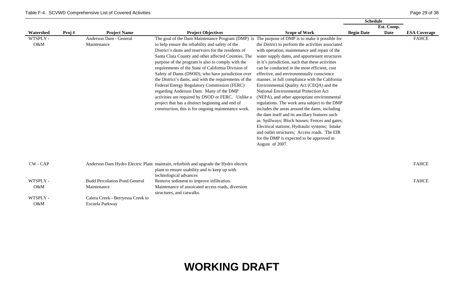|           |       |                                      |                                                                                                |                                                   | <b>Schedule</b>   |             |                     |
|-----------|-------|--------------------------------------|------------------------------------------------------------------------------------------------|---------------------------------------------------|-------------------|-------------|---------------------|
|           |       |                                      |                                                                                                |                                                   |                   | Est. Comp.  |                     |
| Watershed | Proj# | <b>Project Name</b>                  | <b>Project Objectives</b>                                                                      | <b>Scope of Work</b>                              | <b>Begin Date</b> | <b>Date</b> | <b>ESA Coverage</b> |
| WTSPLY -  |       | Anderson Dam - General               | The goal of the Dam Maintenance Program (DMP) is The purpose of DMP is to make it possible for |                                                   |                   |             | <b>FAHCE</b>        |
| O&M       |       | Maintenance                          | to help ensure the reliability and safety of the                                               | the District to perform the activities associated |                   |             |                     |
|           |       |                                      | District's dams and reservoirs for the residents of                                            | with operation, maintenance and repair of the     |                   |             |                     |
|           |       |                                      | Santa Clara County and other affected Counties. The                                            | water supply dams, and appurtenant structures     |                   |             |                     |
|           |       |                                      | purpose of the program is also to comply with the                                              | in it's jurisdiction, such that these activities  |                   |             |                     |
|           |       |                                      | requirements of the State of California Division of                                            | can be conducted in the most efficient, cost      |                   |             |                     |
|           |       |                                      | Safety of Dams (DSOD), who have jurisdiction over                                              | effective, and environmentally conscience         |                   |             |                     |
|           |       |                                      | the District's dams, and with the requirements of the                                          | manner, in full compliance with the California    |                   |             |                     |
|           |       |                                      | Federal Energy Regulatory Commission (FERC)                                                    | Environmental Quality Act (CEQA) and the          |                   |             |                     |
|           |       |                                      | regarding Anderson Dam. Many of the DMP                                                        | National Environmental Protection Act             |                   |             |                     |
|           |       |                                      | activities are required by DSOD or FERC. Unlike a                                              | (NEPA), and other appropriate environmental       |                   |             |                     |
|           |       |                                      | project that has a distinct beginning and end of                                               | regulations. The work area subject to the DMP     |                   |             |                     |
|           |       |                                      | construction, this is for ongoing maintenance work.                                            | includes the areas around the dams, including     |                   |             |                     |
|           |       |                                      |                                                                                                | the dam itself and its ancillary features such    |                   |             |                     |
|           |       |                                      |                                                                                                | as: Spillways; Block houses; Fences and gates;    |                   |             |                     |
|           |       |                                      |                                                                                                | Electrical stations; Hydraulic systems; Intake    |                   |             |                     |
|           |       |                                      |                                                                                                | and outlet structures; Access roads. The EIR      |                   |             |                     |
|           |       |                                      |                                                                                                | for the DMP is expected to be approved in         |                   |             |                     |
|           |       |                                      |                                                                                                | August of 2007.                                   |                   |             |                     |
|           |       |                                      |                                                                                                |                                                   |                   |             |                     |
|           |       |                                      |                                                                                                |                                                   |                   |             |                     |
| CW - CAP  |       |                                      | Anderson Dam Hydro Electric Plant maintain, refurbish and upgrade the Hydro electric           |                                                   |                   |             | <b>FAHCE</b>        |
|           |       |                                      | plant to ensure usability and to keep up with                                                  |                                                   |                   |             |                     |
|           |       |                                      | technological advances                                                                         |                                                   |                   |             |                     |
| WTSPLY -  |       | <b>Budd Percolation Pond General</b> | Remove sediment to improve infiltration.                                                       |                                                   |                   |             | <b>FAHCE</b>        |
| O&M       |       | Maintenance                          | Maintenance of assoicated access roads, diversion                                              |                                                   |                   |             |                     |
|           |       |                                      | structures, and catwalks.                                                                      |                                                   |                   |             |                     |
| WTSPLY -  |       | Calera Creek - Berryessa Creek to    |                                                                                                |                                                   |                   |             |                     |
| O&M       |       | Escuela Parkway                      |                                                                                                |                                                   |                   |             |                     |
|           |       |                                      |                                                                                                |                                                   |                   |             |                     |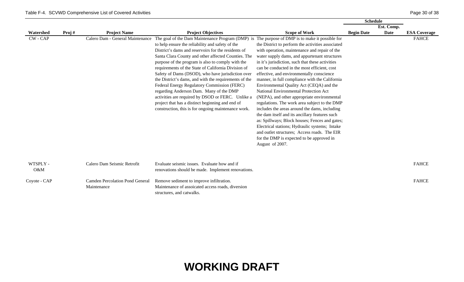|              |       |                                        |                                                                                                |                                                   | <b>Schedule</b>   |             |                     |
|--------------|-------|----------------------------------------|------------------------------------------------------------------------------------------------|---------------------------------------------------|-------------------|-------------|---------------------|
|              |       |                                        |                                                                                                |                                                   |                   | Est. Comp.  |                     |
| Watershed    | Proj# | <b>Project Name</b>                    | <b>Project Objectives</b>                                                                      | <b>Scope of Work</b>                              | <b>Begin Date</b> | <b>Date</b> | <b>ESA Coverage</b> |
| CW - CAP     |       | Calero Dam - General Maintenance       | The goal of the Dam Maintenance Program (DMP) is The purpose of DMP is to make it possible for |                                                   |                   |             | <b>FAHCE</b>        |
|              |       |                                        | to help ensure the reliability and safety of the                                               | the District to perform the activities associated |                   |             |                     |
|              |       |                                        | District's dams and reservoirs for the residents of                                            | with operation, maintenance and repair of the     |                   |             |                     |
|              |       |                                        | Santa Clara County and other affected Counties. The                                            | water supply dams, and appurtenant structures     |                   |             |                     |
|              |       |                                        | purpose of the program is also to comply with the                                              | in it's jurisdiction, such that these activities  |                   |             |                     |
|              |       |                                        | requirements of the State of California Division of                                            | can be conducted in the most efficient, cost      |                   |             |                     |
|              |       |                                        | Safety of Dams (DSOD), who have jurisdiction over                                              | effective, and environmentally conscience         |                   |             |                     |
|              |       |                                        | the District's dams, and with the requirements of the                                          | manner, in full compliance with the California    |                   |             |                     |
|              |       |                                        | Federal Energy Regulatory Commission (FERC)                                                    | Environmental Quality Act (CEQA) and the          |                   |             |                     |
|              |       |                                        | regarding Anderson Dam. Many of the DMP                                                        | National Environmental Protection Act             |                   |             |                     |
|              |       |                                        | activities are required by DSOD or FERC. Unlike a                                              | (NEPA), and other appropriate environmental       |                   |             |                     |
|              |       |                                        | project that has a distinct beginning and end of                                               | regulations. The work area subject to the DMP     |                   |             |                     |
|              |       |                                        | construction, this is for ongoing maintenance work.                                            | includes the areas around the dams, including     |                   |             |                     |
|              |       |                                        |                                                                                                | the dam itself and its ancillary features such    |                   |             |                     |
|              |       |                                        |                                                                                                | as: Spillways; Block houses; Fences and gates;    |                   |             |                     |
|              |       |                                        |                                                                                                | Electrical stations; Hydraulic systems; Intake    |                   |             |                     |
|              |       |                                        |                                                                                                | and outlet structures; Access roads. The EIR      |                   |             |                     |
|              |       |                                        |                                                                                                | for the DMP is expected to be approved in         |                   |             |                     |
|              |       |                                        |                                                                                                | August of 2007.                                   |                   |             |                     |
|              |       |                                        |                                                                                                |                                                   |                   |             |                     |
|              |       |                                        |                                                                                                |                                                   |                   |             |                     |
| WTSPLY -     |       | Calero Dam Seismic Retrofit            | Evaluate seismic issues. Evaluate how and if                                                   |                                                   |                   |             | <b>FAHCE</b>        |
| O&M          |       |                                        | renovations should be made. Implement renovations.                                             |                                                   |                   |             |                     |
|              |       |                                        |                                                                                                |                                                   |                   |             |                     |
| Coyote - CAP |       | <b>Camden Percolation Pond General</b> | Remove sediment to improve infiltration.                                                       |                                                   |                   |             | <b>FAHCE</b>        |
|              |       | Maintenance                            | Maintenance of assoicated access roads, diversion                                              |                                                   |                   |             |                     |
|              |       |                                        | structures, and catwalks.                                                                      |                                                   |                   |             |                     |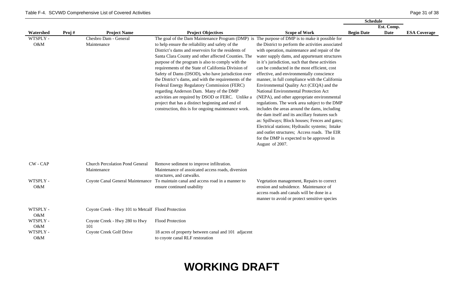|           |       |                                                    |                                                                                                |                                                   | <b>Schedule</b>   |             |                     |
|-----------|-------|----------------------------------------------------|------------------------------------------------------------------------------------------------|---------------------------------------------------|-------------------|-------------|---------------------|
|           |       |                                                    |                                                                                                |                                                   |                   | Est. Comp.  |                     |
| Watershed | Proj# | <b>Project Name</b>                                | <b>Project Objectives</b>                                                                      | <b>Scope of Work</b>                              | <b>Begin Date</b> | <b>Date</b> | <b>ESA Coverage</b> |
| WTSPLY -  |       | Chesbro Dam - General                              | The goal of the Dam Maintenance Program (DMP) is The purpose of DMP is to make it possible for |                                                   |                   |             |                     |
| O&M       |       | Maintenance                                        | to help ensure the reliability and safety of the                                               | the District to perform the activities associated |                   |             |                     |
|           |       |                                                    | District's dams and reservoirs for the residents of                                            | with operation, maintenance and repair of the     |                   |             |                     |
|           |       |                                                    | Santa Clara County and other affected Counties. The                                            | water supply dams, and appurtenant structures     |                   |             |                     |
|           |       |                                                    | purpose of the program is also to comply with the                                              | in it's jurisdiction, such that these activities  |                   |             |                     |
|           |       |                                                    | requirements of the State of California Division of                                            | can be conducted in the most efficient, cost      |                   |             |                     |
|           |       |                                                    | Safety of Dams (DSOD), who have jurisdiction over                                              | effective, and environmentally conscience         |                   |             |                     |
|           |       |                                                    | the District's dams, and with the requirements of the                                          | manner, in full compliance with the California    |                   |             |                     |
|           |       |                                                    | Federal Energy Regulatory Commission (FERC)                                                    | Environmental Quality Act (CEQA) and the          |                   |             |                     |
|           |       |                                                    | regarding Anderson Dam. Many of the DMP                                                        | National Environmental Protection Act             |                   |             |                     |
|           |       |                                                    | activities are required by DSOD or FERC. Unlike a                                              | (NEPA), and other appropriate environmental       |                   |             |                     |
|           |       |                                                    | project that has a distinct beginning and end of                                               | regulations. The work area subject to the DMP     |                   |             |                     |
|           |       |                                                    | construction, this is for ongoing maintenance work.                                            | includes the areas around the dams, including     |                   |             |                     |
|           |       |                                                    |                                                                                                | the dam itself and its ancillary features such    |                   |             |                     |
|           |       |                                                    |                                                                                                | as: Spillways; Block houses; Fences and gates;    |                   |             |                     |
|           |       |                                                    |                                                                                                | Electrical stations; Hydraulic systems; Intake    |                   |             |                     |
|           |       |                                                    |                                                                                                | and outlet structures; Access roads. The EIR      |                   |             |                     |
|           |       |                                                    |                                                                                                | for the DMP is expected to be approved in         |                   |             |                     |
|           |       |                                                    |                                                                                                | August of 2007.                                   |                   |             |                     |
|           |       |                                                    |                                                                                                |                                                   |                   |             |                     |
|           |       |                                                    |                                                                                                |                                                   |                   |             |                     |
| CW - CAP  |       | <b>Church Percolation Pond General</b>             | Remove sediment to improve infiltration.                                                       |                                                   |                   |             |                     |
|           |       | Maintenance                                        | Maintenance of assoicated access roads, diversion                                              |                                                   |                   |             |                     |
|           |       |                                                    | structures, and catwalks.                                                                      |                                                   |                   |             |                     |
| WTSPLY -  |       |                                                    | Coyote Canal General Maintenance To maintain canal and access road in a manner to              | Vegetation management, Repairs to correct         |                   |             |                     |
| O&M       |       |                                                    | ensure continued usability                                                                     | erosion and subsidence. Maintenance of            |                   |             |                     |
|           |       |                                                    |                                                                                                | access roads and canals will be done in a         |                   |             |                     |
|           |       |                                                    |                                                                                                | manner to avoid or protect sensitive species      |                   |             |                     |
|           |       |                                                    |                                                                                                |                                                   |                   |             |                     |
| WTSPLY -  |       | Coyote Creek - Hwy 101 to Metcalf Flood Protection |                                                                                                |                                                   |                   |             |                     |
| O&M       |       |                                                    |                                                                                                |                                                   |                   |             |                     |
| WTSPLY -  |       | Coyote Creek - Hwy 280 to Hwy                      | Flood Protection                                                                               |                                                   |                   |             |                     |
| O&M       |       | 101                                                |                                                                                                |                                                   |                   |             |                     |
| WTSPLY -  |       | Coyote Creek Golf Drive                            | 18 acres of property between canal and 101 adjacent                                            |                                                   |                   |             |                     |
| O&M       |       |                                                    | to coyote canal RLF restoration                                                                |                                                   |                   |             |                     |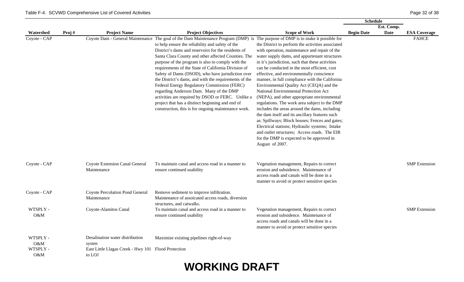|                 |       |                                                               |                                                                                                                                                                                                                                                                                                                                                                                                                                                                                                                                                                                                                                                                                                                                                                                       |                                                                                                                                                                                                                                                                                                                                                                                                                                                                                                                                                                                                                                                                                                                                                                                                                                                                    | <b>Schedule</b>   |            |                      |
|-----------------|-------|---------------------------------------------------------------|---------------------------------------------------------------------------------------------------------------------------------------------------------------------------------------------------------------------------------------------------------------------------------------------------------------------------------------------------------------------------------------------------------------------------------------------------------------------------------------------------------------------------------------------------------------------------------------------------------------------------------------------------------------------------------------------------------------------------------------------------------------------------------------|--------------------------------------------------------------------------------------------------------------------------------------------------------------------------------------------------------------------------------------------------------------------------------------------------------------------------------------------------------------------------------------------------------------------------------------------------------------------------------------------------------------------------------------------------------------------------------------------------------------------------------------------------------------------------------------------------------------------------------------------------------------------------------------------------------------------------------------------------------------------|-------------------|------------|----------------------|
|                 |       |                                                               |                                                                                                                                                                                                                                                                                                                                                                                                                                                                                                                                                                                                                                                                                                                                                                                       |                                                                                                                                                                                                                                                                                                                                                                                                                                                                                                                                                                                                                                                                                                                                                                                                                                                                    |                   | Est. Comp. |                      |
| Watershed       | Proj# | <b>Project Name</b>                                           | <b>Project Objectives</b>                                                                                                                                                                                                                                                                                                                                                                                                                                                                                                                                                                                                                                                                                                                                                             | <b>Scope of Work</b>                                                                                                                                                                                                                                                                                                                                                                                                                                                                                                                                                                                                                                                                                                                                                                                                                                               | <b>Begin Date</b> | Date       | <b>ESA Coverage</b>  |
| Coyote - CAP    |       |                                                               | Coyote Dam - General Maintenance The goal of the Dam Maintenance Program (DMP) is The purpose of DMP is to make it possible for<br>to help ensure the reliability and safety of the<br>District's dams and reservoirs for the residents of<br>Santa Clara County and other affected Counties. The<br>purpose of the program is also to comply with the<br>requirements of the State of California Division of<br>Safety of Dams (DSOD), who have jurisdiction over<br>the District's dams, and with the requirements of the<br>Federal Energy Regulatory Commission (FERC)<br>regarding Anderson Dam. Many of the DMP<br>activities are required by DSOD or FERC. Unlike a<br>project that has a distinct beginning and end of<br>construction, this is for ongoing maintenance work. | the District to perform the activities associated<br>with operation, maintenance and repair of the<br>water supply dams, and appurtenant structures<br>in it's jurisdiction, such that these activities<br>can be conducted in the most efficient, cost<br>effective, and environmentally conscience<br>manner, in full compliance with the California<br>Environmental Quality Act (CEQA) and the<br>National Environmental Protection Act<br>(NEPA), and other appropriate environmental<br>regulations. The work area subject to the DMP<br>includes the areas around the dams, including<br>the dam itself and its ancillary features such<br>as: Spillways; Block houses; Fences and gates;<br>Electrical stations; Hydraulic systems; Intake<br>and outlet structures; Access roads. The EIR<br>for the DMP is expected to be approved in<br>August of 2007. |                   |            | <b>FAHCE</b>         |
| Coyote - CAP    |       | Coyote Extension Canal General<br>Maintenance                 | To maintain canal and access road in a manner to<br>ensure continued usability                                                                                                                                                                                                                                                                                                                                                                                                                                                                                                                                                                                                                                                                                                        | Vegetation management, Repairs to correct<br>erosion and subsidence. Maintenance of<br>access roads and canals will be done in a<br>manner to avoid or protect sensitive species                                                                                                                                                                                                                                                                                                                                                                                                                                                                                                                                                                                                                                                                                   |                   |            | <b>SMP</b> Extension |
| Coyote - CAP    |       | Coyote Percolation Pond General<br>Maintenance                | Remove sediment to improve infiltration.<br>Maintenance of assoicated access roads, diversion<br>structures, and catwalks.                                                                                                                                                                                                                                                                                                                                                                                                                                                                                                                                                                                                                                                            |                                                                                                                                                                                                                                                                                                                                                                                                                                                                                                                                                                                                                                                                                                                                                                                                                                                                    |                   |            |                      |
| WTSPLY -<br>O&M |       | Coyote-Alamitos Canal                                         | To maintain canal and access road in a manner to<br>ensure continued usability                                                                                                                                                                                                                                                                                                                                                                                                                                                                                                                                                                                                                                                                                                        | Vegetation management, Repairs to correct<br>erosion and subsidence. Maintenance of<br>access roads and canals will be done in a<br>manner to avoid or protect sensitive species                                                                                                                                                                                                                                                                                                                                                                                                                                                                                                                                                                                                                                                                                   |                   |            | <b>SMP</b> Extension |
| WTSPLY -<br>O&M |       | Desalination water distribution<br>systen                     | Maximize existing pipelines right-of-way                                                                                                                                                                                                                                                                                                                                                                                                                                                                                                                                                                                                                                                                                                                                              |                                                                                                                                                                                                                                                                                                                                                                                                                                                                                                                                                                                                                                                                                                                                                                                                                                                                    |                   |            |                      |
| WTSPLY -<br>O&M |       | East Little Llagas Creek - Hwy 101 Flood Protection<br>to LOJ |                                                                                                                                                                                                                                                                                                                                                                                                                                                                                                                                                                                                                                                                                                                                                                                       |                                                                                                                                                                                                                                                                                                                                                                                                                                                                                                                                                                                                                                                                                                                                                                                                                                                                    |                   |            |                      |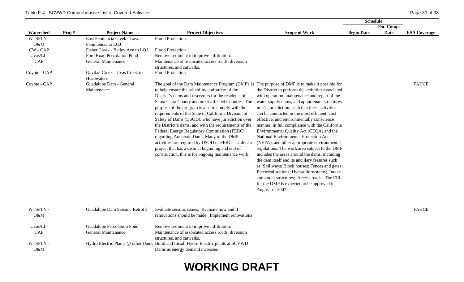O&M

|                 |       |                                             |                                                                                                                                                                                                                                                                                                                                                                                                                                                                                                                                                                                                                                                                                                                                                      |                                                                                                                                                                                                                                                                                                                                                                                                                                                                                                                                                                                                                                                                                                                                                                                                                                                                    | <b>Schedule</b>   |            |                     |
|-----------------|-------|---------------------------------------------|------------------------------------------------------------------------------------------------------------------------------------------------------------------------------------------------------------------------------------------------------------------------------------------------------------------------------------------------------------------------------------------------------------------------------------------------------------------------------------------------------------------------------------------------------------------------------------------------------------------------------------------------------------------------------------------------------------------------------------------------------|--------------------------------------------------------------------------------------------------------------------------------------------------------------------------------------------------------------------------------------------------------------------------------------------------------------------------------------------------------------------------------------------------------------------------------------------------------------------------------------------------------------------------------------------------------------------------------------------------------------------------------------------------------------------------------------------------------------------------------------------------------------------------------------------------------------------------------------------------------------------|-------------------|------------|---------------------|
|                 |       |                                             |                                                                                                                                                                                                                                                                                                                                                                                                                                                                                                                                                                                                                                                                                                                                                      |                                                                                                                                                                                                                                                                                                                                                                                                                                                                                                                                                                                                                                                                                                                                                                                                                                                                    |                   | Est. Comp. |                     |
| Watershed       | Proj# | <b>Project Name</b>                         | <b>Project Objectives</b>                                                                                                                                                                                                                                                                                                                                                                                                                                                                                                                                                                                                                                                                                                                            | <b>Scope of Work</b>                                                                                                                                                                                                                                                                                                                                                                                                                                                                                                                                                                                                                                                                                                                                                                                                                                               | <b>Begin Date</b> | Date       | <b>ESA Coverage</b> |
| WTSPLY -        |       | East Penitencia Creek - Lower               | Flood Protection                                                                                                                                                                                                                                                                                                                                                                                                                                                                                                                                                                                                                                                                                                                                     |                                                                                                                                                                                                                                                                                                                                                                                                                                                                                                                                                                                                                                                                                                                                                                                                                                                                    |                   |            |                     |
| O&M             |       | Penintencia to LOJ                          |                                                                                                                                                                                                                                                                                                                                                                                                                                                                                                                                                                                                                                                                                                                                                      |                                                                                                                                                                                                                                                                                                                                                                                                                                                                                                                                                                                                                                                                                                                                                                                                                                                                    |                   |            |                     |
| <b>CW-CAP</b>   |       | Fisher Creek - Bailey Ave to LOJ            | <b>Flood Protection</b>                                                                                                                                                                                                                                                                                                                                                                                                                                                                                                                                                                                                                                                                                                                              |                                                                                                                                                                                                                                                                                                                                                                                                                                                                                                                                                                                                                                                                                                                                                                                                                                                                    |                   |            |                     |
| Uvas/Ll-        |       | Ford Road Percolation Pond                  | Remove sediment to improve infiltration.                                                                                                                                                                                                                                                                                                                                                                                                                                                                                                                                                                                                                                                                                                             |                                                                                                                                                                                                                                                                                                                                                                                                                                                                                                                                                                                                                                                                                                                                                                                                                                                                    |                   |            |                     |
| CAP             |       | <b>General Maintenance</b>                  | Maintenance of assoicated access roads, diversion<br>structures, and catwalks.                                                                                                                                                                                                                                                                                                                                                                                                                                                                                                                                                                                                                                                                       |                                                                                                                                                                                                                                                                                                                                                                                                                                                                                                                                                                                                                                                                                                                                                                                                                                                                    |                   |            |                     |
| Coyote - CAP    |       | Gavilan Creek - Uvas Creek to<br>Headwaters | Flood Protection                                                                                                                                                                                                                                                                                                                                                                                                                                                                                                                                                                                                                                                                                                                                     |                                                                                                                                                                                                                                                                                                                                                                                                                                                                                                                                                                                                                                                                                                                                                                                                                                                                    |                   |            |                     |
| Coyote - CAP    |       | Guadalupe Dam - General<br>Maintenance      | The goal of the Dam Maintenance Program (DMP) is The purpose of DMP is to make it possible for<br>to help ensure the reliability and safety of the<br>District's dams and reservoirs for the residents of<br>Santa Clara County and other affected Counties. The<br>purpose of the program is also to comply with the<br>requirements of the State of California Division of<br>Safety of Dams (DSOD), who have jurisdiction over<br>the District's dams, and with the requirements of the<br>Federal Energy Regulatory Commission (FERC)<br>regarding Anderson Dam. Many of the DMP<br>activities are required by DSOD or FERC. Unlike a<br>project that has a distinct beginning and end of<br>construction, this is for ongoing maintenance work. | the District to perform the activities associated<br>with operation, maintenance and repair of the<br>water supply dams, and appurtenant structures<br>in it's jurisdiction, such that these activities<br>can be conducted in the most efficient, cost<br>effective, and environmentally conscience<br>manner, in full compliance with the California<br>Environmental Quality Act (CEQA) and the<br>National Environmental Protection Act<br>(NEPA), and other appropriate environmental<br>regulations. The work area subject to the DMP<br>includes the areas around the dams, including<br>the dam itself and its ancillary features such<br>as: Spillways; Block houses; Fences and gates;<br>Electrical stations; Hydraulic systems; Intake<br>and outlet structures; Access roads. The EIR<br>for the DMP is expected to be approved in<br>August of 2007. |                   |            | <b>FAHCE</b>        |
| WTSPLY -<br>O&M |       | Guadalupe Dam Seismic Retrofit              | Evaluate seismic issues. Evaluate how and if<br>renovations should be made. Implement renovations                                                                                                                                                                                                                                                                                                                                                                                                                                                                                                                                                                                                                                                    |                                                                                                                                                                                                                                                                                                                                                                                                                                                                                                                                                                                                                                                                                                                                                                                                                                                                    |                   |            | <b>FAHCE</b>        |
| Uvas/Ll-        |       | Guadalupe Percolation Pond                  | Remove sediment to improve infiltration.                                                                                                                                                                                                                                                                                                                                                                                                                                                                                                                                                                                                                                                                                                             |                                                                                                                                                                                                                                                                                                                                                                                                                                                                                                                                                                                                                                                                                                                                                                                                                                                                    |                   |            |                     |
| CAP             |       | <b>General Maintenance</b>                  | Maintenance of assoicated access roads, diversion                                                                                                                                                                                                                                                                                                                                                                                                                                                                                                                                                                                                                                                                                                    |                                                                                                                                                                                                                                                                                                                                                                                                                                                                                                                                                                                                                                                                                                                                                                                                                                                                    |                   |            |                     |
|                 |       |                                             | structures, and catwalks.                                                                                                                                                                                                                                                                                                                                                                                                                                                                                                                                                                                                                                                                                                                            |                                                                                                                                                                                                                                                                                                                                                                                                                                                                                                                                                                                                                                                                                                                                                                                                                                                                    |                   |            |                     |
| WTSPLY -        |       |                                             | Hydro Electric Plants @ other Dams Build and Install Hydro Electric plants at SCVWD                                                                                                                                                                                                                                                                                                                                                                                                                                                                                                                                                                                                                                                                  |                                                                                                                                                                                                                                                                                                                                                                                                                                                                                                                                                                                                                                                                                                                                                                                                                                                                    |                   |            |                     |

#### **WORKING DRAFT**

Dams as energy demand increases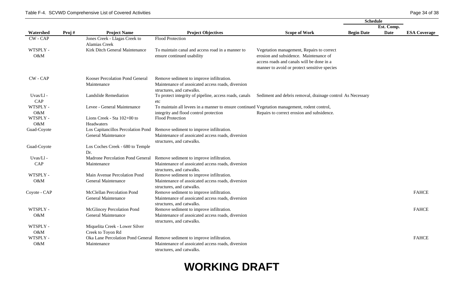|              |       |                                  |                                                                                               |                                                            | <b>Schedule</b>   |             |                     |
|--------------|-------|----------------------------------|-----------------------------------------------------------------------------------------------|------------------------------------------------------------|-------------------|-------------|---------------------|
|              |       |                                  |                                                                                               |                                                            |                   | Est. Comp.  |                     |
| Watershed    | Proj# | <b>Project Name</b>              | <b>Project Objectives</b>                                                                     | <b>Scope of Work</b>                                       | <b>Begin Date</b> | <b>Date</b> | <b>ESA Coverage</b> |
| CW-CAP       |       | Jones Creek - Llagas Creek to    | <b>Flood Protection</b>                                                                       |                                                            |                   |             |                     |
|              |       | <b>Alamias Creek</b>             |                                                                                               |                                                            |                   |             |                     |
| WTSPLY -     |       | Kirk Ditch General Maintenance   | To maintain canal and access road in a manner to                                              | Vegetation management, Repairs to correct                  |                   |             |                     |
| O&M          |       |                                  | ensure continued usability                                                                    | erosion and subsidence. Maintenance of                     |                   |             |                     |
|              |       |                                  |                                                                                               | access roads and canals will be done in a                  |                   |             |                     |
|              |       |                                  |                                                                                               | manner to avoid or protect sensitive species               |                   |             |                     |
| $CW - CAP$   |       | Kooser Percolation Pond General  | Remove sediment to improve infiltration.                                                      |                                                            |                   |             |                     |
|              |       | Maintenance                      | Maintenance of assoicated access roads, diversion                                             |                                                            |                   |             |                     |
|              |       |                                  | structures, and catwalks.                                                                     |                                                            |                   |             |                     |
| Uvas/Ll-     |       | <b>Landslide Remediation</b>     | To protect integrity of pipeline, access roads, canals                                        | Sediment and debris removal, drainage control As Necessary |                   |             |                     |
| CAP          |       |                                  | etc                                                                                           |                                                            |                   |             |                     |
| WTSPLY -     |       | Levee - General Maintenance      | To maintain all levees in a manner to ensure continued Vegetation management, rodent control, |                                                            |                   |             |                     |
| O&M          |       |                                  | integrity and flood control protection                                                        | Repairs to correct erosion and subsidence.                 |                   |             |                     |
| WTSPLY -     |       | Lions Creek - Sta 102+00 to      | <b>Flood Protection</b>                                                                       |                                                            |                   |             |                     |
| O&M          |       | Headwaters                       |                                                                                               |                                                            |                   |             |                     |
| Guad-Coyote  |       |                                  | Los Capitancillos Percolation Pond Remove sediment to improve infiltration.                   |                                                            |                   |             |                     |
|              |       | General Maintenance              | Maintenance of assoicated access roads, diversion                                             |                                                            |                   |             |                     |
|              |       |                                  | structures, and catwalks.                                                                     |                                                            |                   |             |                     |
| Guad-Coyote  |       | Los Coches Creek - 680 to Temple |                                                                                               |                                                            |                   |             |                     |
|              |       | Dr.                              |                                                                                               |                                                            |                   |             |                     |
| Uvas/Ll-     |       |                                  | Madrone Percolation Pond General Remove sediment to improve infiltration.                     |                                                            |                   |             |                     |
| CAP          |       | Maintenance                      | Maintenance of assoicated access roads, diversion                                             |                                                            |                   |             |                     |
|              |       |                                  | structures, and catwalks.                                                                     |                                                            |                   |             |                     |
| WTSPLY -     |       | Main Avenue Percolation Pond     | Remove sediment to improve infiltration.                                                      |                                                            |                   |             |                     |
| O&M          |       | General Maintenance              | Maintenance of assoicated access roads, diversion                                             |                                                            |                   |             |                     |
|              |       |                                  | structures, and catwalks.                                                                     |                                                            |                   |             | <b>FAHCE</b>        |
| Coyote - CAP |       | McClellan Percolation Pond       | Remove sediment to improve infiltration.                                                      |                                                            |                   |             |                     |
|              |       | General Maintenance              | Maintenance of assoicated access roads, diversion<br>structures, and catwalks.                |                                                            |                   |             |                     |
| WTSPLY -     |       | McGlincey Percolation Pond       | Remove sediment to improve infiltration.                                                      |                                                            |                   |             | <b>FAHCE</b>        |
| O&M          |       | General Maintenance              | Maintenance of assoicated access roads, diversion                                             |                                                            |                   |             |                     |
|              |       |                                  | structures, and catwalks.                                                                     |                                                            |                   |             |                     |
| WTSPLY -     |       | Miquelita Creek - Lower Silver   |                                                                                               |                                                            |                   |             |                     |
| O&M          |       | Creek to Toyon Rd                |                                                                                               |                                                            |                   |             |                     |
| WTSPLY -     |       |                                  | Oka Lane Percolation Pond General Remove sediment to improve infiltration.                    |                                                            |                   |             | <b>FAHCE</b>        |
| O&M          |       | Maintenance                      | Maintenance of assoicated access roads, diversion                                             |                                                            |                   |             |                     |
|              |       |                                  | structures, and catwalks.                                                                     |                                                            |                   |             |                     |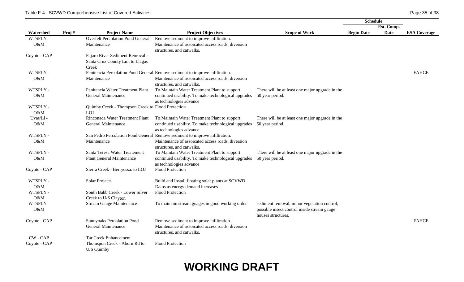|               |       |                                                   |                                                                                |                                                 | <b>Schedule</b>   |             |                     |
|---------------|-------|---------------------------------------------------|--------------------------------------------------------------------------------|-------------------------------------------------|-------------------|-------------|---------------------|
|               |       |                                                   |                                                                                |                                                 |                   | Est. Comp.  |                     |
| Watershed     | Proj# | <b>Project Name</b>                               | <b>Project Objectives</b>                                                      | <b>Scope of Work</b>                            | <b>Begin Date</b> | <b>Date</b> | <b>ESA Coverage</b> |
| WTSPLY -      |       | <b>Overfelt Percolation Pond General</b>          | Remove sediment to improve infiltration.                                       |                                                 |                   |             |                     |
| O&M           |       | Maintenance                                       | Maintenance of assoicated access roads, diversion                              |                                                 |                   |             |                     |
|               |       |                                                   | structures, and catwalks.                                                      |                                                 |                   |             |                     |
| Coyote - CAP  |       | Pajaro River Sediment Removal -                   |                                                                                |                                                 |                   |             |                     |
|               |       | Santa Cruz County Lint to Llagas                  |                                                                                |                                                 |                   |             |                     |
|               |       | Creek                                             |                                                                                |                                                 |                   |             |                     |
| WTSPLY -      |       |                                                   | Penitencia Percolation Pond General Remove sediment to improve infiltration.   |                                                 |                   |             | <b>FAHCE</b>        |
| O&M           |       | Maintenance                                       | Maintenance of assoicated access roads, diversion                              |                                                 |                   |             |                     |
|               |       |                                                   | structures, and catwalks.                                                      |                                                 |                   |             |                     |
| WTSPLY -      |       | Penitencia Water Treatment Plant                  | To Maintain Water Treatment Plant to support                                   | There will be at least one major upgrade in the |                   |             |                     |
| O&M           |       | <b>General Maintenance</b>                        | continued usability. To make technological upgrades                            | 50 year period.                                 |                   |             |                     |
|               |       |                                                   | as technologies advance                                                        |                                                 |                   |             |                     |
| WTSPLY -      |       | Quimby Creek - Thompson Creek to Flood Protection |                                                                                |                                                 |                   |             |                     |
| O&M           |       | <b>LOJ</b>                                        |                                                                                |                                                 |                   |             |                     |
| Uvas/Ll-      |       | Rinconada Water Treatment Plant                   | To Maintain Water Treatment Plant to support                                   | There will be at least one major upgrade in the |                   |             |                     |
| O&M           |       | General Maintenance                               | continued usability. To make technological upgrades                            | 50 year period.                                 |                   |             |                     |
|               |       |                                                   | as technologies advance                                                        |                                                 |                   |             |                     |
| WTSPLY -      |       |                                                   | San Pedro Percolation Pond General Remove sediment to improve infiltration.    |                                                 |                   |             |                     |
| O&M           |       | Maintenance                                       | Maintenance of assoicated access roads, diversion<br>structures, and catwalks. |                                                 |                   |             |                     |
| WTSPLY -      |       | Santa Teresa Water Treatement                     | To Maintain Water Treatment Plant to support                                   | There will be at least one major upgrade in the |                   |             |                     |
| O&M           |       | <b>Plant General Maintenance</b>                  | continued usability. To make technological upgrades                            | 50 year period.                                 |                   |             |                     |
|               |       |                                                   | as technologies advance                                                        |                                                 |                   |             |                     |
| Coyote - CAP  |       | Sierra Creek - Berryessa. to LOJ                  | <b>Flood Protection</b>                                                        |                                                 |                   |             |                     |
| WTSPLY -      |       | Solar Projects                                    | Build and Install floating solar plants at SCVWD                               |                                                 |                   |             |                     |
| O&M           |       |                                                   | Dams as energy demand increases                                                |                                                 |                   |             |                     |
| WTSPLY -      |       | South Babb Creek - Lower Silver                   | <b>Flood Protection</b>                                                        |                                                 |                   |             |                     |
| O&M           |       | Creek to U/S Clayton                              |                                                                                |                                                 |                   |             |                     |
| WTSPLY -      |       | <b>Stream Gauge Maintenance</b>                   | To maintain stream guages in good working order                                | sediment removal, minor vegetation control,     |                   |             |                     |
| O&M           |       |                                                   |                                                                                | possible insect control inside stream gauge     |                   |             |                     |
|               |       |                                                   |                                                                                | houses structures.                              |                   |             |                     |
| Coyote - CAP  |       | <b>Sunnyoaks Percolation Pond</b>                 | Remove sediment to improve infiltration.                                       |                                                 |                   |             | <b>FAHCE</b>        |
|               |       | <b>General Maintenance</b>                        | Maintenance of assoicated access roads, diversion                              |                                                 |                   |             |                     |
|               |       |                                                   | structures, and catwalks.                                                      |                                                 |                   |             |                     |
| <b>CW-CAP</b> |       | <b>Tar Creek Enhancement</b>                      |                                                                                |                                                 |                   |             |                     |
| Coyote - CAP  |       | Thomspon Creek - Aborn Rd to                      | <b>Flood Protection</b>                                                        |                                                 |                   |             |                     |
|               |       | U/S Quimby                                        |                                                                                |                                                 |                   |             |                     |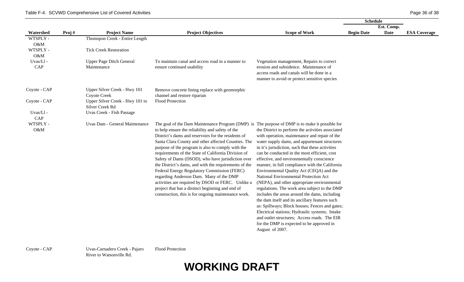|                 |       |                                                     |                                                                                                                                                                                                                                                                                                                                                                                                                                                                                                                                                                                                                                                                                                                                                      |                                                                                                                                                                                                                                                                                                                                                                                                                                                                                                                                                                                                                                                                                                                                                                                                                                                                    | <b>Schedule</b>   |            |                     |
|-----------------|-------|-----------------------------------------------------|------------------------------------------------------------------------------------------------------------------------------------------------------------------------------------------------------------------------------------------------------------------------------------------------------------------------------------------------------------------------------------------------------------------------------------------------------------------------------------------------------------------------------------------------------------------------------------------------------------------------------------------------------------------------------------------------------------------------------------------------------|--------------------------------------------------------------------------------------------------------------------------------------------------------------------------------------------------------------------------------------------------------------------------------------------------------------------------------------------------------------------------------------------------------------------------------------------------------------------------------------------------------------------------------------------------------------------------------------------------------------------------------------------------------------------------------------------------------------------------------------------------------------------------------------------------------------------------------------------------------------------|-------------------|------------|---------------------|
|                 |       |                                                     |                                                                                                                                                                                                                                                                                                                                                                                                                                                                                                                                                                                                                                                                                                                                                      |                                                                                                                                                                                                                                                                                                                                                                                                                                                                                                                                                                                                                                                                                                                                                                                                                                                                    |                   | Est. Comp. |                     |
| Watershed       | Proj# | <b>Project Name</b>                                 | <b>Project Objectives</b>                                                                                                                                                                                                                                                                                                                                                                                                                                                                                                                                                                                                                                                                                                                            | <b>Scope of Work</b>                                                                                                                                                                                                                                                                                                                                                                                                                                                                                                                                                                                                                                                                                                                                                                                                                                               | <b>Begin Date</b> | Date       | <b>ESA Coverage</b> |
| WTSPLY -<br>O&M |       | Thomspon Creek - Entire Length                      |                                                                                                                                                                                                                                                                                                                                                                                                                                                                                                                                                                                                                                                                                                                                                      |                                                                                                                                                                                                                                                                                                                                                                                                                                                                                                                                                                                                                                                                                                                                                                                                                                                                    |                   |            |                     |
| WTSPLY -<br>O&M |       | <b>Tick Creek Restoration</b>                       |                                                                                                                                                                                                                                                                                                                                                                                                                                                                                                                                                                                                                                                                                                                                                      |                                                                                                                                                                                                                                                                                                                                                                                                                                                                                                                                                                                                                                                                                                                                                                                                                                                                    |                   |            |                     |
| Uvas/Ll-        |       | <b>Upper Page Ditch General</b>                     | To maintain canal and access road in a manner to                                                                                                                                                                                                                                                                                                                                                                                                                                                                                                                                                                                                                                                                                                     | Vegetation management, Repairs to correct                                                                                                                                                                                                                                                                                                                                                                                                                                                                                                                                                                                                                                                                                                                                                                                                                          |                   |            |                     |
| CAP             |       | Maintenance                                         | ensure continued usability                                                                                                                                                                                                                                                                                                                                                                                                                                                                                                                                                                                                                                                                                                                           | erosion and subsidence. Maintenance of<br>access roads and canals will be done in a<br>manner to avoid or protect sensitive species                                                                                                                                                                                                                                                                                                                                                                                                                                                                                                                                                                                                                                                                                                                                |                   |            |                     |
| Coyote - CAP    |       | Upper Silver Creek - Hwy 101<br><b>Coyote Creek</b> | Remove concrete lining replace with geomorphic<br>channel and restore riparian                                                                                                                                                                                                                                                                                                                                                                                                                                                                                                                                                                                                                                                                       |                                                                                                                                                                                                                                                                                                                                                                                                                                                                                                                                                                                                                                                                                                                                                                                                                                                                    |                   |            |                     |
| Coyote - CAP    |       | Upper Silver Creek - Hwy 101 to<br>Silver Creek Rd  | Flood Protection                                                                                                                                                                                                                                                                                                                                                                                                                                                                                                                                                                                                                                                                                                                                     |                                                                                                                                                                                                                                                                                                                                                                                                                                                                                                                                                                                                                                                                                                                                                                                                                                                                    |                   |            |                     |
| Uvas/Ll-<br>CAP |       | Uvas Creek - Fish Passage                           |                                                                                                                                                                                                                                                                                                                                                                                                                                                                                                                                                                                                                                                                                                                                                      |                                                                                                                                                                                                                                                                                                                                                                                                                                                                                                                                                                                                                                                                                                                                                                                                                                                                    |                   |            |                     |
| WTSPLY -<br>O&M |       | Uvas Dam - General Maintenance                      | The goal of the Dam Maintenance Program (DMP) is The purpose of DMP is to make it possible for<br>to help ensure the reliability and safety of the<br>District's dams and reservoirs for the residents of<br>Santa Clara County and other affected Counties. The<br>purpose of the program is also to comply with the<br>requirements of the State of California Division of<br>Safety of Dams (DSOD), who have jurisdiction over<br>the District's dams, and with the requirements of the<br>Federal Energy Regulatory Commission (FERC)<br>regarding Anderson Dam. Many of the DMP<br>activities are required by DSOD or FERC. Unlike a<br>project that has a distinct beginning and end of<br>construction, this is for ongoing maintenance work. | the District to perform the activities associated<br>with operation, maintenance and repair of the<br>water supply dams, and appurtenant structures<br>in it's jurisdiction, such that these activities<br>can be conducted in the most efficient, cost<br>effective, and environmentally conscience<br>manner, in full compliance with the California<br>Environmental Quality Act (CEQA) and the<br>National Environmental Protection Act<br>(NEPA), and other appropriate environmental<br>regulations. The work area subject to the DMP<br>includes the areas around the dams, including<br>the dam itself and its ancillary features such<br>as: Spillways; Block houses; Fences and gates;<br>Electrical stations; Hydraulic systems; Intake<br>and outlet structures; Access roads. The EIR<br>for the DMP is expected to be approved in<br>August of 2007. |                   |            |                     |

Coyote - CAP Uvas-Carnadero Creek - Pajaro River to Watsonville Rd.

Flood Protection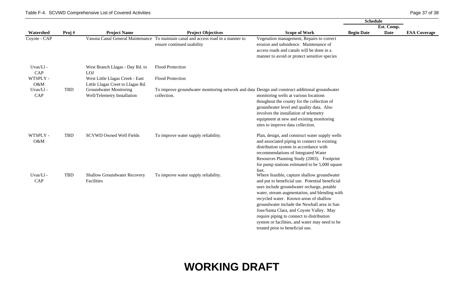|                 |       |                                                                      |                                                                                                                 |                                                                                                                                                                                                                                                                                                                                                                                                                                                                                | <b>Schedule</b>   |             |                     |
|-----------------|-------|----------------------------------------------------------------------|-----------------------------------------------------------------------------------------------------------------|--------------------------------------------------------------------------------------------------------------------------------------------------------------------------------------------------------------------------------------------------------------------------------------------------------------------------------------------------------------------------------------------------------------------------------------------------------------------------------|-------------------|-------------|---------------------|
|                 |       |                                                                      |                                                                                                                 |                                                                                                                                                                                                                                                                                                                                                                                                                                                                                |                   | Est. Comp.  |                     |
| Watershed       | Proj# | <b>Project Name</b>                                                  | <b>Project Objectives</b>                                                                                       | <b>Scope of Work</b>                                                                                                                                                                                                                                                                                                                                                                                                                                                           | <b>Begin Date</b> | <b>Date</b> | <b>ESA Coverage</b> |
| Coyote - CAP    |       |                                                                      | Vasona Canal General Maintenance To maintain canal and access road in a manner to<br>ensure continued usability | Vegetation management, Repairs to correct<br>erosion and subsidence. Maintenance of<br>access roads and canals will be done in a<br>manner to avoid or protect sensitive species                                                                                                                                                                                                                                                                                               |                   |             |                     |
| Uvas/Ll-<br>CAP |       | West Branch Llagas - Day Rd. to<br>LOJ                               | Flood Protection                                                                                                |                                                                                                                                                                                                                                                                                                                                                                                                                                                                                |                   |             |                     |
| WTSPLY -<br>O&M |       | West Little Llagas Creek - East<br>Little Llagas Creet to Llagas Rd. | Flood Protection                                                                                                |                                                                                                                                                                                                                                                                                                                                                                                                                                                                                |                   |             |                     |
| Uvas/Ll-<br>CAP | TBD   | <b>Groundwater Monitoring</b><br>Well/Telemetry Installation         | To improve groundwater monitoring network and data Design and construct additional groundwater<br>collection.   | monitoring wells at various locations<br>thoughout the county for the collection of<br>groundwater level and quality data. Also<br>involves the installation of telemetry<br>equipment at new and existing monitoring<br>sites to improve data collection.                                                                                                                                                                                                                     |                   |             |                     |
| WTSPLY -<br>O&M | TBD   | <b>SCVWD Owned Well Fields</b>                                       | To improve water supply reliability.                                                                            | Plan, design, and construct water supply wells<br>and associated piping to connect to existing<br>distribution system in accordance with<br>recommendations of Integrated Water<br>Resources Planning Study (2003). Footprint<br>for pump stations estimated to be 5,000 square                                                                                                                                                                                                |                   |             |                     |
| Uvas/Ll-<br>CAP | TBD   | <b>Shallow Groundwater Recovery</b><br>Facilities                    | To improve water supply reliability.                                                                            | feet.<br>Where feasible, capture shallow groundwater<br>and put to beneficial use. Potential beneficial<br>uses include groundwater recharge, potable<br>water, stream augmentation, and blending with<br>recycled water. Known areas of shallow<br>groundwater include the Newhall area in San<br>Jose/Santa Clara, and Coyote Valley. May<br>require piping to connect to distribution<br>system or facilities, and water may need to be<br>treated prior to beneficial use. |                   |             |                     |